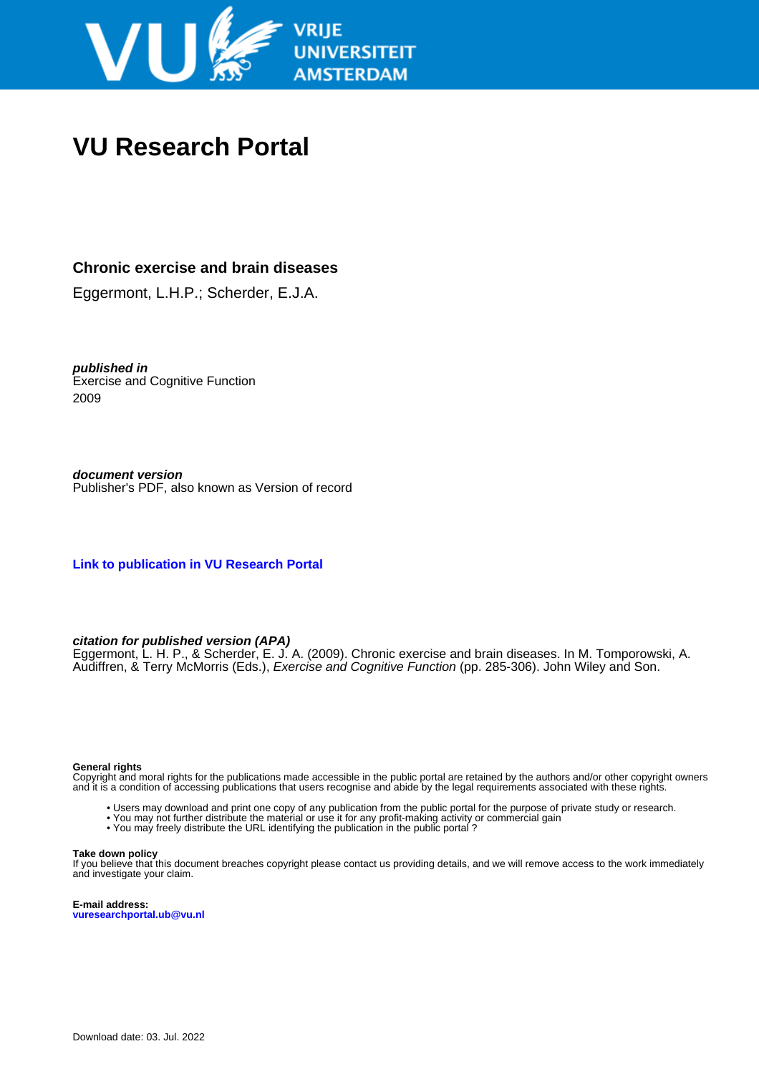

# **VU Research Portal**

# **Chronic exercise and brain diseases**

Eggermont, L.H.P.; Scherder, E.J.A.

**published in** Exercise and Cognitive Function 2009

**document version** Publisher's PDF, also known as Version of record

**[Link to publication in VU Research Portal](https://research.vu.nl/en/publications/35f13910-b903-47a0-a7df-026ecf8bac0e)**

#### **citation for published version (APA)**

Eggermont, L. H. P., & Scherder, E. J. A. (2009). Chronic exercise and brain diseases. In M. Tomporowski, A. Audiffren, & Terry McMorris (Eds.), Exercise and Cognitive Function (pp. 285-306). John Wiley and Son.

#### **General rights**

Copyright and moral rights for the publications made accessible in the public portal are retained by the authors and/or other copyright owners and it is a condition of accessing publications that users recognise and abide by the legal requirements associated with these rights.

- Users may download and print one copy of any publication from the public portal for the purpose of private study or research.
- You may not further distribute the material or use it for any profit-making activity or commercial gain
- You may freely distribute the URL identifying the publication in the public portal ?

#### **Take down policy**

If you believe that this document breaches copyright please contact us providing details, and we will remove access to the work immediately and investigate your claim.

**E-mail address: vuresearchportal.ub@vu.nl**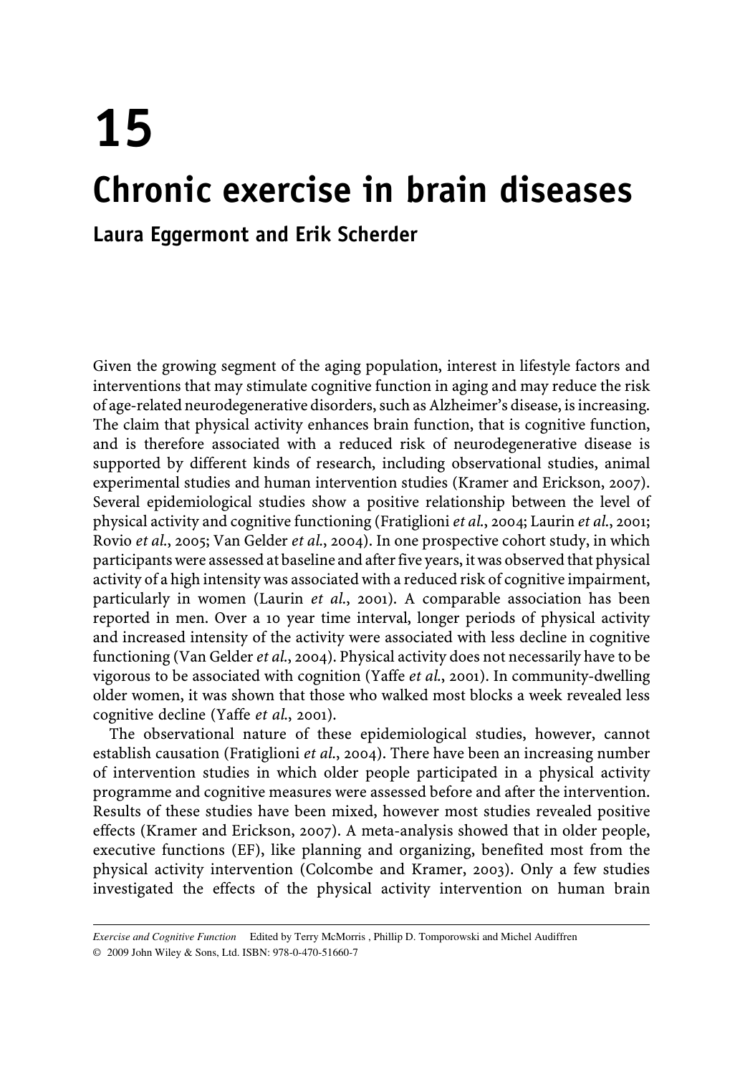# 15 Chronic exercise in brain diseases Laura Eggermont and Erik Scherder

Given the growing segment of the aging population, interest in lifestyle factors and interventions that may stimulate cognitive function in aging and may reduce the risk of age-related neurodegenerative disorders, such as Alzheimer's disease, is increasing. The claim that physical activity enhances brain function, that is cognitive function, and is therefore associated with a reduced risk of neurodegenerative disease is supported by different kinds of research, including observational studies, animal experimental studies and human intervention studies (Kramer and Erickson, 2007). Several epidemiological studies show a positive relationship between the level of physical activity and cognitive functioning (Fratiglioni et al., 2004; Laurin et al., 2001; Rovio et al., 2005; Van Gelder et al., 2004). In one prospective cohort study, in which participants were assessed at baseline and after five years, it was observed that physical activity of a high intensity was associated with a reduced risk of cognitive impairment, particularly in women (Laurin *et al.*, 2001). A comparable association has been reported in men. Over a 10 year time interval, longer periods of physical activity and increased intensity of the activity were associated with less decline in cognitive functioning (Van Gelder *et al.*, 2004). Physical activity does not necessarily have to be vigorous to be associated with cognition (Yaffe *et al.*, 2001). In community-dwelling older women, it was shown that those who walked most blocks a week revealed less cognitive decline (Yaffe et al., 2001).

The observational nature of these epidemiological studies, however, cannot establish causation (Fratiglioni et al., 2004). There have been an increasing number of intervention studies in which older people participated in a physical activity programme and cognitive measures were assessed before and after the intervention. Results of these studies have been mixed, however most studies revealed positive effects (Kramer and Erickson, 2007). A meta-analysis showed that in older people, executive functions (EF), like planning and organizing, benefited most from the physical activity intervention (Colcombe and Kramer, 2003). Only a few studies investigated the effects of the physical activity intervention on human brain

*Exercise and Cognitive Function* Edited by Terry McMorris , Phillip D. Tomporowski and Michel Audiffren

<sup>© 2009</sup> John Wiley & Sons, Ltd. ISBN: 978-0-470-51660-7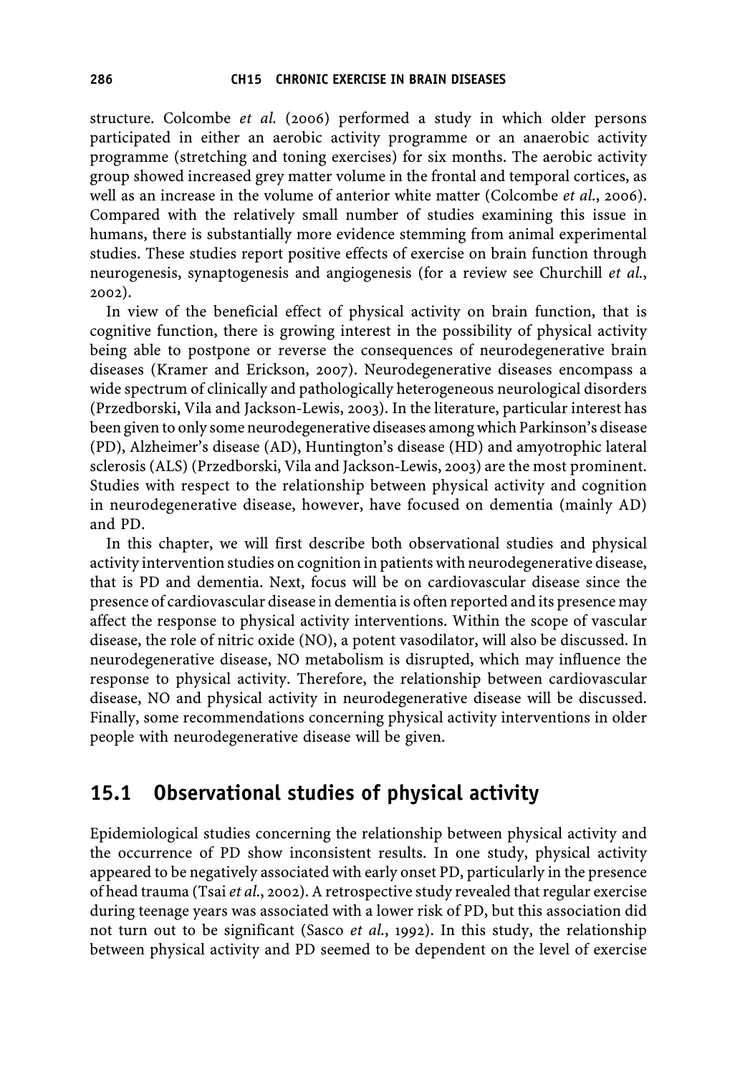structure. Colcombe et al. (2006) performed a study in which older persons participated in either an aerobic activity programme or an anaerobic activity programme (stretching and toning exercises) for six months. The aerobic activity group showed increased grey matter volume in the frontal and temporal cortices, as well as an increase in the volume of anterior white matter (Colcombe et al., 2006). Compared with the relatively small number of studies examining this issue in humans, there is substantially more evidence stemming from animal experimental studies. These studies report positive effects of exercise on brain function through neurogenesis, synaptogenesis and angiogenesis (for a review see Churchill et al., 2002).

In view of the beneficial effect of physical activity on brain function, that is cognitive function, there is growing interest in the possibility of physical activity being able to postpone or reverse the consequences of neurodegenerative brain diseases (Kramer and Erickson, 2007). Neurodegenerative diseases encompass a wide spectrum of clinically and pathologically heterogeneous neurological disorders (Przedborski, Vila and Jackson-Lewis, 2003). In the literature, particular interest has been given to only some neurodegenerative diseases among which Parkinson's disease (PD), Alzheimer's disease (AD), Huntington's disease (HD) and amyotrophic lateral sclerosis (ALS) (Przedborski, Vila and Jackson-Lewis, 2003) are the most prominent. Studies with respect to the relationship between physical activity and cognition in neurodegenerative disease, however, have focused on dementia (mainly AD) and PD.

In this chapter, we will first describe both observational studies and physical activity intervention studies on cognition in patients with neurodegenerative disease, that is PD and dementia. Next, focus will be on cardiovascular disease since the presence of cardiovascular disease in dementia is often reported and its presence may affect the response to physical activity interventions. Within the scope of vascular disease, the role of nitric oxide (NO), a potent vasodilator, will also be discussed. In neurodegenerative disease, NO metabolism is disrupted, which may influence the response to physical activity. Therefore, the relationship between cardiovascular disease, NO and physical activity in neurodegenerative disease will be discussed. Finally, some recommendations concerning physical activity interventions in older people with neurodegenerative disease will be given.

# 15.1 Observational studies of physical activity

Epidemiological studies concerning the relationship between physical activity and the occurrence of PD show inconsistent results. In one study, physical activity appeared to be negatively associated with early onset PD, particularly in the presence of head trauma (Tsai et al., 2002). A retrospective study revealed that regular exercise during teenage years was associated with a lower risk of PD, but this association did not turn out to be significant (Sasco et al., 1992). In this study, the relationship between physical activity and PD seemed to be dependent on the level of exercise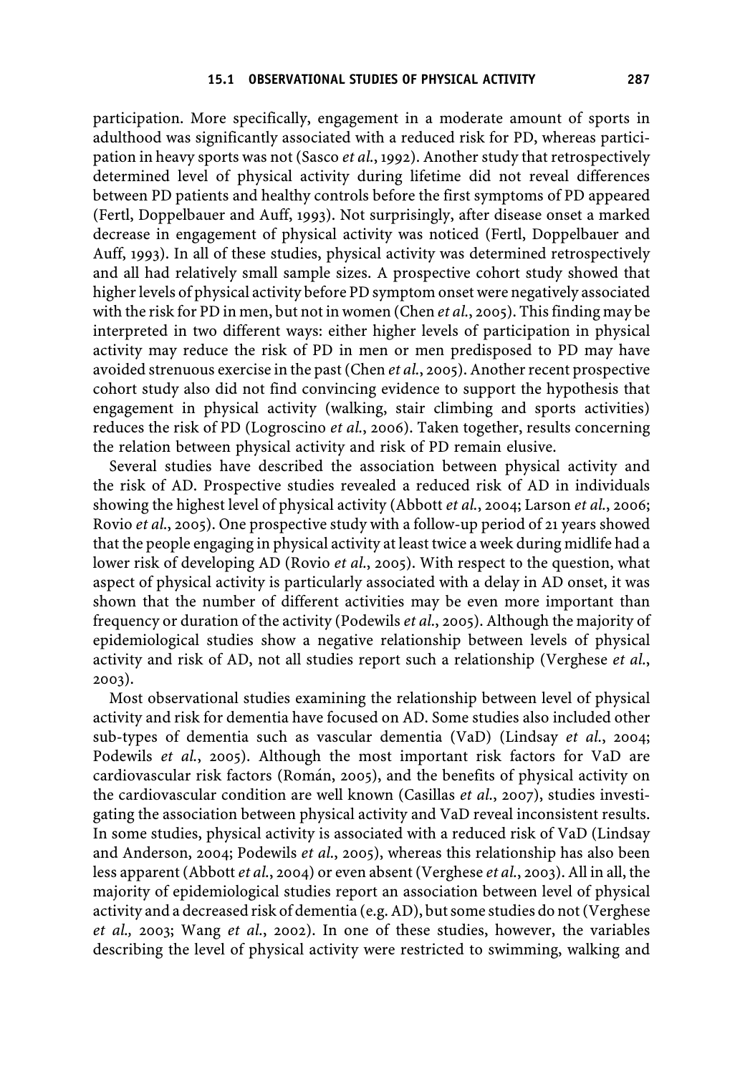participation. More specifically, engagement in a moderate amount of sports in adulthood was significantly associated with a reduced risk for PD, whereas participation in heavy sports was not (Sasco et al., 1992). Another study that retrospectively determined level of physical activity during lifetime did not reveal differences between PD patients and healthy controls before the first symptoms of PD appeared (Fertl, Doppelbauer and Auff, 1993). Not surprisingly, after disease onset a marked decrease in engagement of physical activity was noticed (Fertl, Doppelbauer and Auff, 1993). In all of these studies, physical activity was determined retrospectively and all had relatively small sample sizes. A prospective cohort study showed that higher levels of physical activity before PD symptom onset were negatively associated with the risk for PD in men, but not in women (Chen *et al.*, 2005). This finding may be interpreted in two different ways: either higher levels of participation in physical activity may reduce the risk of PD in men or men predisposed to PD may have avoided strenuous exercise in the past (Chen et al., 2005). Another recent prospective cohort study also did not find convincing evidence to support the hypothesis that engagement in physical activity (walking, stair climbing and sports activities) reduces the risk of PD (Logroscino *et al.*, 2006). Taken together, results concerning the relation between physical activity and risk of PD remain elusive.

Several studies have described the association between physical activity and the risk of AD. Prospective studies revealed a reduced risk of AD in individuals showing the highest level of physical activity (Abbott et al., 2004; Larson et al., 2006; Rovio et al., 2005). One prospective study with a follow-up period of 21 years showed that the people engaging in physical activity at least twice a week during midlife had a lower risk of developing AD (Rovio et al., 2005). With respect to the question, what aspect of physical activity is particularly associated with a delay in AD onset, it was shown that the number of different activities may be even more important than frequency or duration of the activity (Podewils et al., 2005). Although the majority of epidemiological studies show a negative relationship between levels of physical activity and risk of AD, not all studies report such a relationship (Verghese et al., 2003).

Most observational studies examining the relationship between level of physical activity and risk for dementia have focused on AD. Some studies also included other sub-types of dementia such as vascular dementia (VaD) (Lindsay et al., 2004; Podewils et al., 2005). Although the most important risk factors for VaD are cardiovascular risk factors (Román, 2005), and the benefits of physical activity on the cardiovascular condition are well known (Casillas *et al.*, 2007), studies investigating the association between physical activity and VaD reveal inconsistent results. In some studies, physical activity is associated with a reduced risk of VaD (Lindsay and Anderson, 2004; Podewils et al., 2005), whereas this relationship has also been less apparent (Abbott *et al.*, 2004) or even absent (Verghese *et al.*, 2003). All in all, the majority of epidemiological studies report an association between level of physical activity and a decreased risk of dementia (e.g. AD), but some studies do not (Verghese et al., 2003; Wang et al., 2002). In one of these studies, however, the variables describing the level of physical activity were restricted to swimming, walking and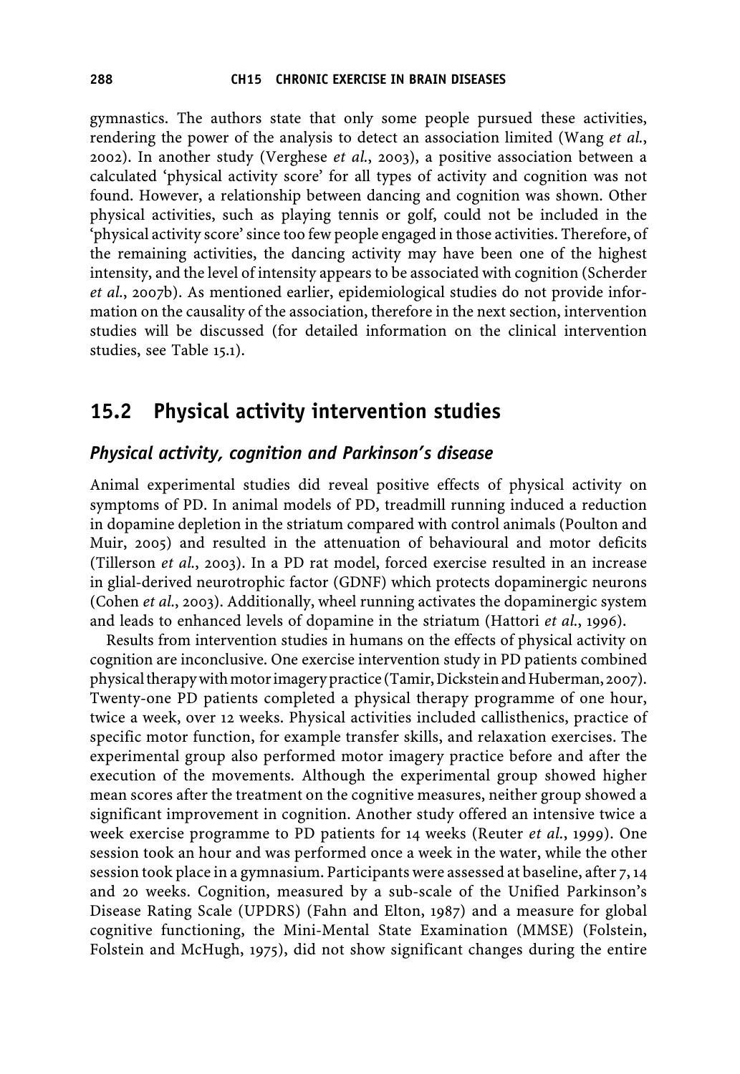gymnastics. The authors state that only some people pursued these activities, rendering the power of the analysis to detect an association limited (Wang et al., 2002). In another study (Verghese et al., 2003), a positive association between a calculated 'physical activity score' for all types of activity and cognition was not found. However, a relationship between dancing and cognition was shown. Other physical activities, such as playing tennis or golf, could not be included in the 'physical activity score' since too few people engaged in those activities. Therefore, of the remaining activities, the dancing activity may have been one of the highest intensity, and the level of intensity appears to be associated with cognition (Scherder et al., 2007b). As mentioned earlier, epidemiological studies do not provide information on the causality of the association, therefore in the next section, intervention studies will be discussed (for detailed information on the clinical intervention studies, see Table 15.1).

# 15.2 Physical activity intervention studies

#### Physical activity, cognition and Parkinson's disease

Animal experimental studies did reveal positive effects of physical activity on symptoms of PD. In animal models of PD, treadmill running induced a reduction in dopamine depletion in the striatum compared with control animals (Poulton and Muir, 2005) and resulted in the attenuation of behavioural and motor deficits (Tillerson et al., 2003). In a PD rat model, forced exercise resulted in an increase in glial-derived neurotrophic factor (GDNF) which protects dopaminergic neurons (Cohen et al., 2003). Additionally, wheel running activates the dopaminergic system and leads to enhanced levels of dopamine in the striatum (Hattori et al., 1996).

Results from intervention studies in humans on the effects of physical activity on cognition are inconclusive. One exercise intervention study in PD patients combined physical therapy with motor imagery practice (Tamir, Dickstein and Huberman, 2007). Twenty-one PD patients completed a physical therapy programme of one hour, twice a week, over 12 weeks. Physical activities included callisthenics, practice of specific motor function, for example transfer skills, and relaxation exercises. The experimental group also performed motor imagery practice before and after the execution of the movements. Although the experimental group showed higher mean scores after the treatment on the cognitive measures, neither group showed a significant improvement in cognition. Another study offered an intensive twice a week exercise programme to PD patients for 14 weeks (Reuter et al., 1999). One session took an hour and was performed once a week in the water, while the other session took place in a gymnasium. Participants were assessed at baseline, after 7, 14 and 20 weeks. Cognition, measured by a sub-scale of the Unified Parkinson's Disease Rating Scale (UPDRS) (Fahn and Elton, 1987) and a measure for global cognitive functioning, the Mini-Mental State Examination (MMSE) (Folstein, Folstein and McHugh, 1975), did not show significant changes during the entire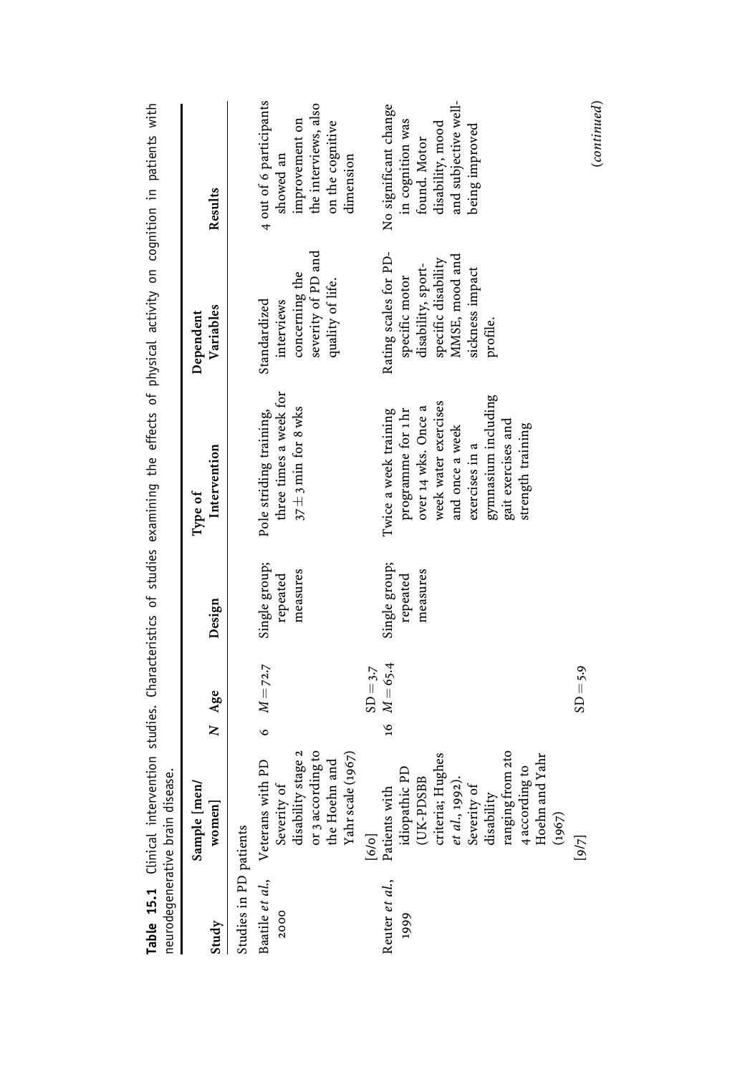|                        | neurodegenerative brain disease.                                                                                                                                                                                                |                |              |                                       |                                                                                                                                                                                                   | .<br>ה<br>ח<br>$\frac{1}{2}$                                                                                                          |                                                                                                                         |
|------------------------|---------------------------------------------------------------------------------------------------------------------------------------------------------------------------------------------------------------------------------|----------------|--------------|---------------------------------------|---------------------------------------------------------------------------------------------------------------------------------------------------------------------------------------------------|---------------------------------------------------------------------------------------------------------------------------------------|-------------------------------------------------------------------------------------------------------------------------|
| Study                  | Sample [men<br>women]                                                                                                                                                                                                           |                | N Age        | Design                                | Intervention<br>Type of                                                                                                                                                                           | Variables<br>Dependent                                                                                                                | Results                                                                                                                 |
| Studies in PD patients |                                                                                                                                                                                                                                 |                |              |                                       |                                                                                                                                                                                                   |                                                                                                                                       |                                                                                                                         |
| 2000                   | $\mathrm{or}\,3$ according to the Hoehn and<br>Severity of<br>disability stage 2<br>Yahr scale (1967)<br>Baatile et al., Veterans with PD<br>noon Severity of                                                                   |                | 6 $M = 72.7$ | Single group;<br>measures<br>repeated | three times a week for<br>$37 \pm 3$ min for 8 wks<br>Pole striding training,                                                                                                                     | severity of PD and<br>concerning the<br>quality of life.<br>Standardized<br>interviews                                                | 4 out of 6 participants<br>the interviews, also<br>improvement on<br>on the cognitive<br>showed an<br>dimension         |
|                        | [6/0]                                                                                                                                                                                                                           |                | $SD = 3.7$   |                                       |                                                                                                                                                                                                   |                                                                                                                                       |                                                                                                                         |
| Reuter et al.,<br>1999 | et al., 1992).<br>Severity of<br>disability<br>tanging from 2to<br>ranging from 2to<br>4 according to<br>Patients with<br>idiopathic PD<br>(UK-PDSBB<br>criteria; Hughes<br>striventia; Hughes<br>ıd Yahr<br>Hoehn an<br>(1967) | $\frac{16}{2}$ | $M = 65.4$   | Single group;<br>measures<br>repeated | gymnasium including<br>week water exercises<br>over 14 wks. Once a<br>Twice a week training<br>programme for 1 hr<br>gait exercises and<br>strength training<br>and once a week<br>exercises in a | Rating scales for PD-<br>MMSE, mood and<br>specific disability<br>disability, sport-<br>sickness impact<br>specific motor<br>profile. | and subjective well-<br>No significant change<br>in cognition was<br>disability, mood<br>being improved<br>found. Motor |
|                        | [9/7]                                                                                                                                                                                                                           |                | $SD = 5.9$   |                                       |                                                                                                                                                                                                   |                                                                                                                                       | $_{(continued)}$                                                                                                        |

Table 15.1 Clinical intervention studies. Characteristics of studies examining the effects of physical activity on cognition in patients with Table 15.1 Clinical intervention studies. Characteristics of studies examining the effects of physical activity on cognition in patients with  $\ddot{\cdot}$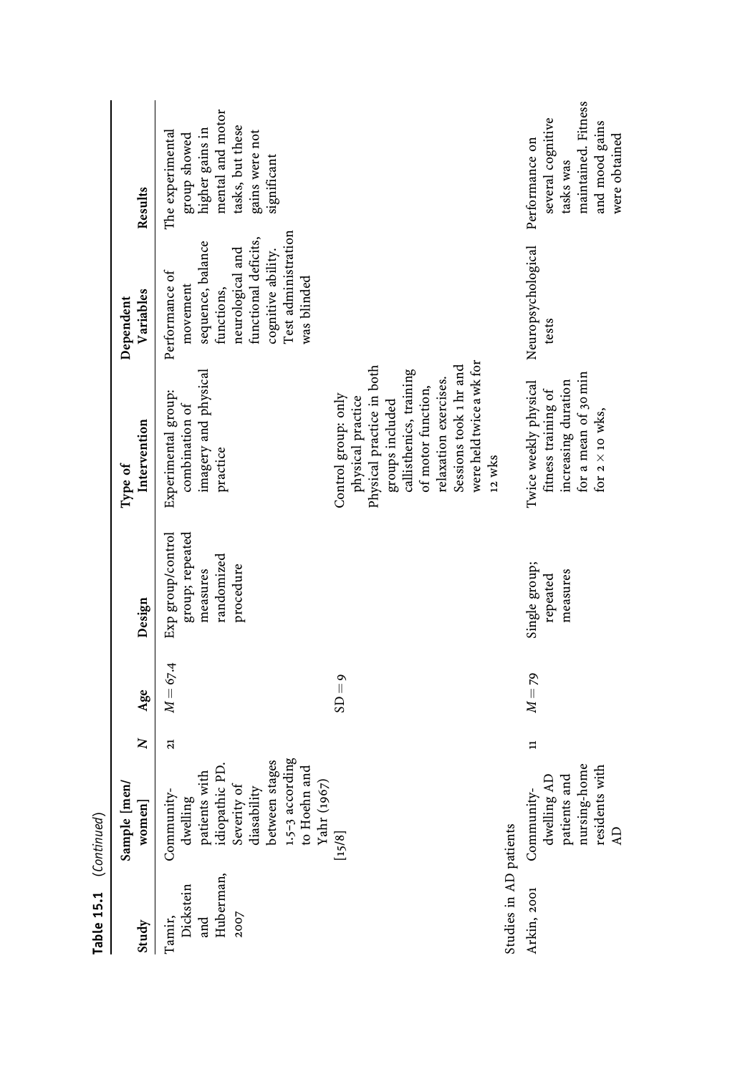| Table 15.1 (Continued)                             |                                                                                                                                                              |                 |               |                                                                             |                                                                                                                                                                                                                                              |                                                                                                                                                                       |                                                                                                                              |
|----------------------------------------------------|--------------------------------------------------------------------------------------------------------------------------------------------------------------|-----------------|---------------|-----------------------------------------------------------------------------|----------------------------------------------------------------------------------------------------------------------------------------------------------------------------------------------------------------------------------------------|-----------------------------------------------------------------------------------------------------------------------------------------------------------------------|------------------------------------------------------------------------------------------------------------------------------|
| Study                                              | ੇਜ਼<br>Sample [m<br>women]                                                                                                                                   | $\mathsf{z}$    | Age           | Design                                                                      | Intervention<br>Type of                                                                                                                                                                                                                      | Variables<br>Dependent                                                                                                                                                | Results                                                                                                                      |
| Huberman,<br>Dickstein<br>2007<br>Tamir,<br>រ<br>ជ | $1.5-3$ according to Hoehn and<br>between stages<br>idiopathic PD.<br>patients with<br>Severity of<br>Yahr $(1967)$<br>diasability<br>Community-<br>dwelling | $\overline{21}$ | $M = 67.4$    | group; repeated<br>Exp group/control<br>randomized<br>procedure<br>measures | imagery and physical<br>Experimental group:<br>combination of<br>practice                                                                                                                                                                    | Test administration<br>functional deficits,<br>sequence, balance<br>neurological and<br>cognitive ability.<br>Performance of<br>was blinded<br>movement<br>functions, | mental and motor<br>tasks, but these<br>group showed<br>higher gains in<br>gains were not<br>The experimental<br>significant |
|                                                    | [15/8]                                                                                                                                                       |                 | $\delta =$ OS |                                                                             | were held twice a wk for<br>Physical practice in both<br>Sessions took 1 hr and<br>callisthenics, training<br>relaxation exercises.<br>of motor function,<br>Control group: only<br>physical practice<br>groups included<br>$12 \text{ wks}$ |                                                                                                                                                                       |                                                                                                                              |
| Studies in AD patients                             |                                                                                                                                                              |                 |               |                                                                             |                                                                                                                                                                                                                                              |                                                                                                                                                                       |                                                                                                                              |
| Arkin, 2001                                        | nursing-home<br>s with<br>patients and<br>dwelling AD<br>Community-<br>residents<br><b>AD</b>                                                                | $\Xi$           | $M = 79$      | Single group;<br>measures<br>repeated                                       | for a mean of 30 min<br>Twice weekly physical<br>increasing duration<br>fitness training of<br>for $2 \times 10$ wks,                                                                                                                        | Neuropsychological<br>tests                                                                                                                                           | maintained. Fitness<br>several cognitive<br>and mood gains<br>were obtained<br>Performance on<br>tasks was                   |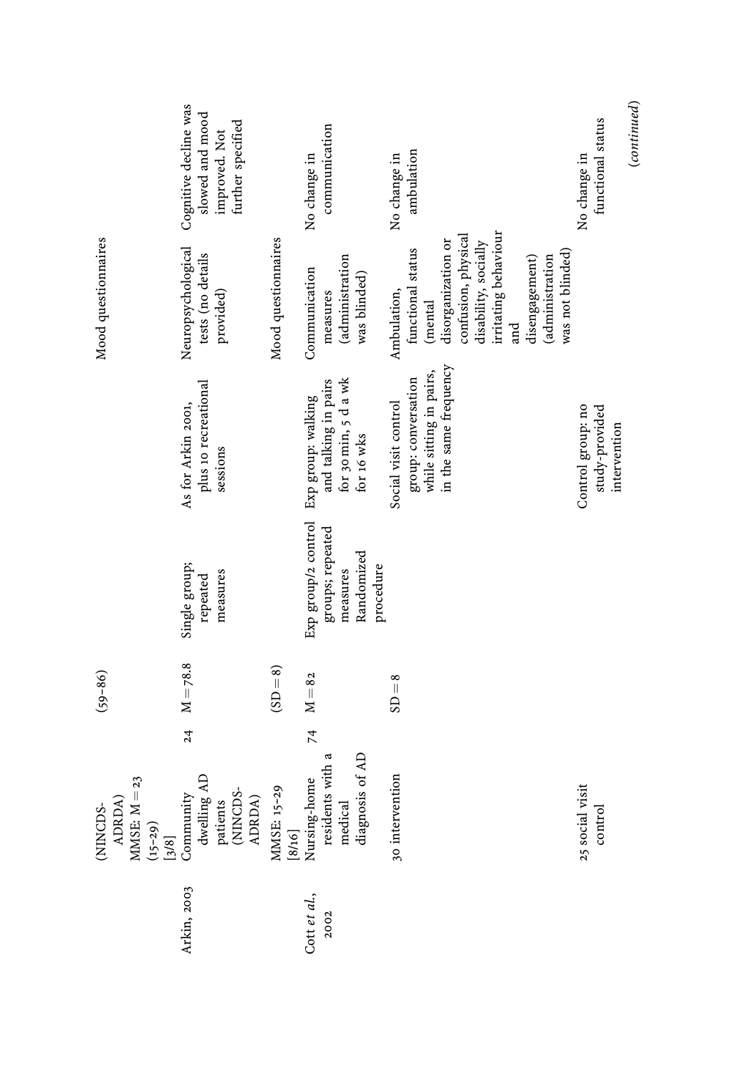|                                                                                                                                | Cognitive decline was<br>slowed and mood<br>further specified<br>improved. Not |                     | communication<br>No change in                                                                                           | ambulation<br>No change in<br>No change in                                                                                                                                                               | functional status              | $_{(continued)}$ |
|--------------------------------------------------------------------------------------------------------------------------------|--------------------------------------------------------------------------------|---------------------|-------------------------------------------------------------------------------------------------------------------------|----------------------------------------------------------------------------------------------------------------------------------------------------------------------------------------------------------|--------------------------------|------------------|
| Mood questionnaires                                                                                                            | Neuropsychological<br>tests (no details<br>provided)                           | Mood questionnaires | (administration<br>Communication<br>was blinded)<br>measures                                                            | irritating behaviour<br>confusion, physical<br>disorganization or<br>disability, socially<br>functional status<br>was not blinded)<br>disengagement)<br>(administration<br>Ambulation,<br>(mental<br>and |                                |                  |
|                                                                                                                                | plus 10 recreational<br>As for Arkin 2001,<br>sessions                         |                     | for 30 min, 5 d a wk<br>Exp group: walking<br>and talking in pairs<br>for 16 wks                                        | in the same frequency<br>while sitting in pairs,<br>group: conversation<br>Social visit control<br>Control group: no                                                                                     | study-provided<br>intervention |                  |
|                                                                                                                                | Single group;<br>measures<br>repeated                                          |                     | Exp group/2 control<br>groups; repeated<br>Randomized<br>procedure<br>measures                                          |                                                                                                                                                                                                          |                                |                  |
| $(59 - 86)$                                                                                                                    | $M = 78.8$                                                                     | $(S_D = 8)$         | $M = 82$                                                                                                                | $SD = 8$                                                                                                                                                                                                 |                                |                  |
| 23<br>$\begin{array}{c} \text{(NINCDS-} \\ \text{ADRDA)} \\ \text{MMSE: M} = 2 \end{array}$<br>$(15-29)$<br>[3/8]<br>Community | $\overline{24}$<br>dwelling ${\rm AD}$<br>patients<br>(NINCDS-<br>ADRDA)       | MMSE: 15-29         | $\overline{7}$<br>of AD<br>with a<br>AL.<br>[8/16]<br>Nursing-home<br>Nursidents wir<br>redical<br>medical<br>diagnosis | 30 intervention<br>25 social visit                                                                                                                                                                       | control                        |                  |
|                                                                                                                                | Arkin, 2003                                                                    |                     | Cott et al.,<br>2002                                                                                                    |                                                                                                                                                                                                          |                                |                  |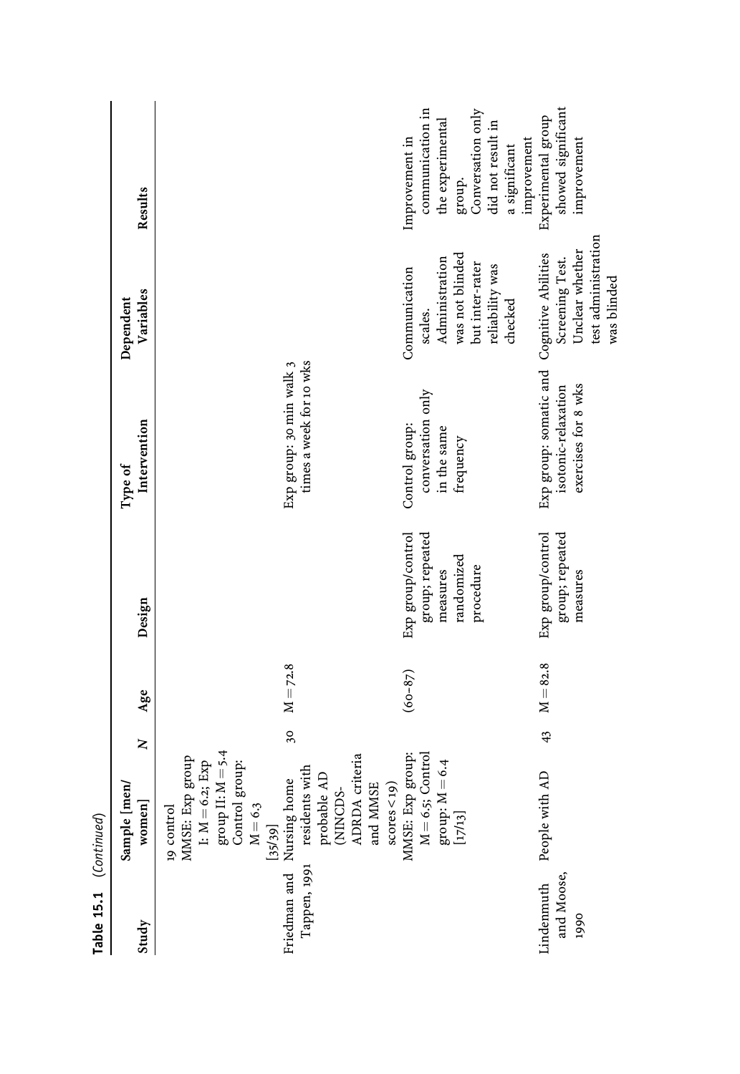| Study                            | Sample [men/<br>women]                                                                                                                                                                                                                                                            | $\mathsf{z}$   | Age         | Design                                                                      | Intervention<br>Type of                                                                  | Variables<br>Dependent                                                                                         | Results                                                                                                                     |
|----------------------------------|-----------------------------------------------------------------------------------------------------------------------------------------------------------------------------------------------------------------------------------------------------------------------------------|----------------|-------------|-----------------------------------------------------------------------------|------------------------------------------------------------------------------------------|----------------------------------------------------------------------------------------------------------------|-----------------------------------------------------------------------------------------------------------------------------|
|                                  | I: $M = 6.2$ ; Exp<br>group II: $M = 5.4$<br>Control group:<br>$M = 6.3$<br>probable AD<br>(NINCDS-<br>ADRDA criteria<br>and MMSE<br>MMSE: Exp group<br>$[35/39] \\ \text{Friedman and Nursing home} \\ \text{Tappen, 1991 } \text{residents with} \\$<br>scores<19<br>19 control | $\frac{30}{2}$ | $M = 72.8$  |                                                                             | times a week for 10 wks<br>Exp group: 30 min walk 3                                      |                                                                                                                |                                                                                                                             |
|                                  | $M = 6.5$ ; Control<br>group: $M = 6.4$<br>[17/13]<br>MMSE: Exp group:                                                                                                                                                                                                            |                | $(60 - 87)$ | Exp group/control<br>group; repeated<br>randomized<br>procedure<br>measures | conversation only<br>Control group:<br>in the same<br>frequency                          | was not blinded<br>Administration<br>but inter-rater<br>reliability was<br>Communication<br>checked<br>scales. | communication in<br>Conversation only<br>the experimental<br>did not result in<br>Improvement in<br>a significant<br>group. |
| and Moose,<br>Lindenmuth<br>1990 | People with AD                                                                                                                                                                                                                                                                    | 43             | $M = 82.8$  | Exp group/control<br>group; repeated<br>measures                            | Exp group: somatic and Cognitive Abilities<br>exercises for 8 wks<br>isotonic-relaxation | test administration<br>Unclear whether<br>Screening Test.<br>was blinded                                       | showed significant<br>Experimental group<br>improvement<br>improvement                                                      |

Table 15.1 (Continued) Table  $15.1$  (Continued)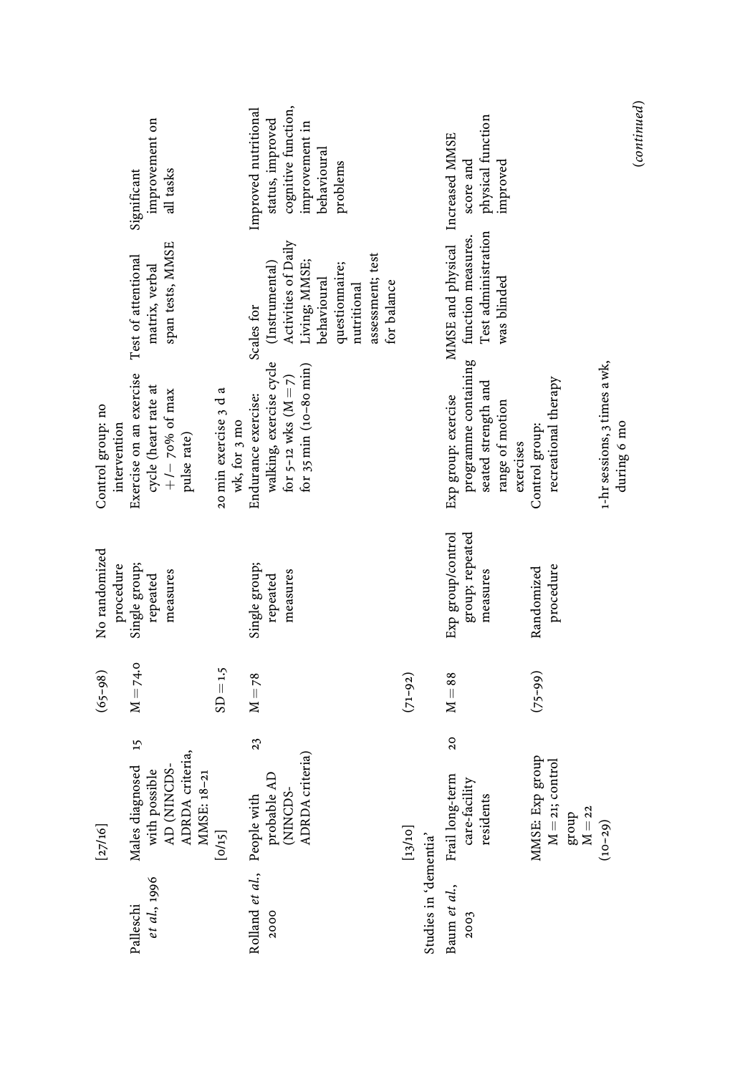|                                   | improvement on<br>all tasks                                                             |                                       | cognitive function,<br>Improved nutritional<br>status, improved<br>improvement in<br>behavioural<br>problems                              |             |                       | physical function<br>score and<br>improved                                                         |                                                                                                                                                 | (continued)                                 |
|-----------------------------------|-----------------------------------------------------------------------------------------|---------------------------------------|-------------------------------------------------------------------------------------------------------------------------------------------|-------------|-----------------------|----------------------------------------------------------------------------------------------------|-------------------------------------------------------------------------------------------------------------------------------------------------|---------------------------------------------|
|                                   | Significant<br>span tests, MMSE<br>Test of attentional<br>matrix, verbal                |                                       | Activities of Daily<br>assessment; test<br>Living; MMSE;<br>(Instrumental)<br>questionnaire;<br>behavioural<br>for balance<br>nutritional |             |                       | MMSE and physical Increased MMSE<br>Test administration<br>function measures.<br>was blinded       |                                                                                                                                                 |                                             |
| Control group: no<br>intervention | Exercise on an exercise<br>cycle (heart rate at<br>$+/-$ 70% of max<br>pulse rate)      | 20 min exercise 3 d a<br>wk, for 3 mo | Scales for<br>walking, exercise cycle<br>for $35 \text{ min}$ (10-80 min)<br>for 5-12 wks $(M = 7)$<br>Endurance exercise:                |             |                       | programme containing<br>seated strength and<br>Exp group: exercise<br>range of motion<br>exercises | recreational therapy<br>Control group:                                                                                                          | 1-hr sessions, 3 times a wk,<br>during 6 mo |
| No randomized<br>procedure        | Single group;<br>measures<br>repeated                                                   |                                       | Single group;<br>measures<br>repeated                                                                                                     |             |                       | group; repeated<br>Exp group/control<br>measures                                                   | procedure<br>Randomized                                                                                                                         |                                             |
| $(65 - 98)$                       | $M = 74.0$                                                                              | $SD = 1.5$                            | $M = 78$                                                                                                                                  | $(71 - 92)$ |                       | $M = 88$                                                                                           | $(75-99)$                                                                                                                                       |                                             |
| [27/16]                           | 15<br>AD (NINCDS-<br>ADRDA criteria,<br>MMSE: 18–21<br>Males diagnosed<br>with possible | [o/15]                                | 23<br>ADRDA criteria)<br>Ę<br>probable AT                                                                                                 | $[13/10]$   |                       | 20<br>Frail long-term<br>care-facility<br>residents                                                | dno.a<br>$\begin{array}{c} \text{MMSE: Exp group} \\ \text{M=21; control} \end{array}$<br>$\begin{array}{l}{\rm group}\\ {\rm M}=22\end{array}$ | $(10-29)$                                   |
|                                   | et al., 1996<br>Palleschi                                                               |                                       | Rolland et al., People with<br>2000                                                                                                       |             | Studies in 'dementia' | Baum et al.,<br>2003                                                                               |                                                                                                                                                 |                                             |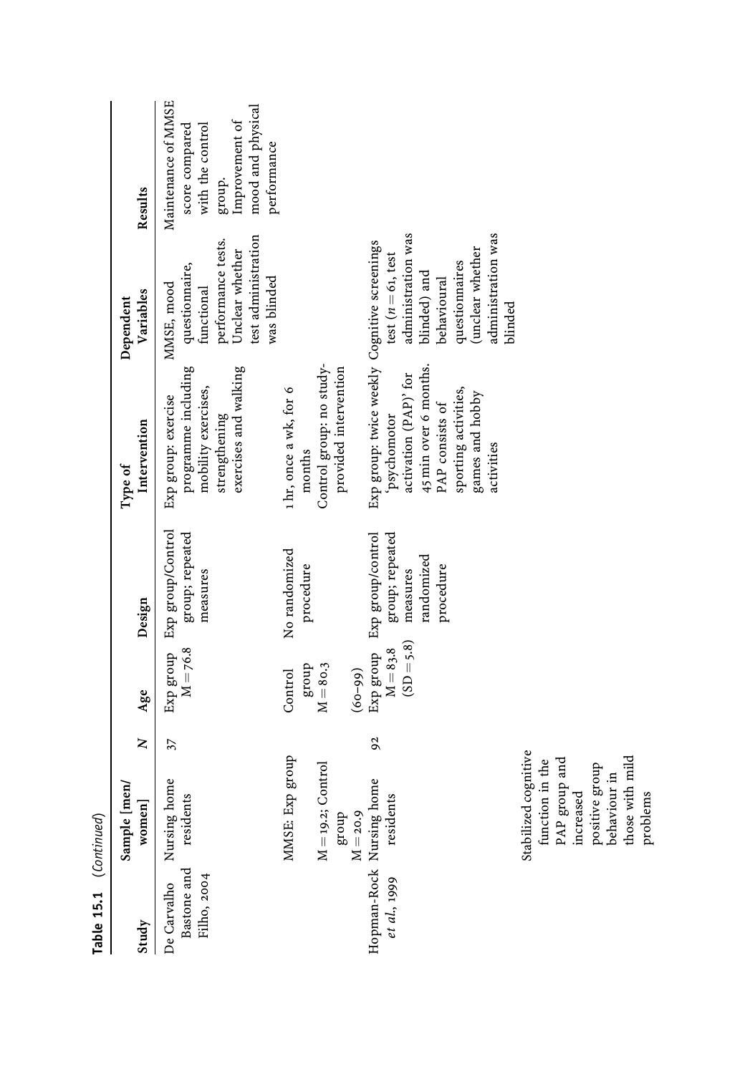| Study                                     | Sample [men/<br>women                                                                                               | $\mathsf{z}$ | Age                                                                         | Design                                                                                                              | Intervention<br>Type of                                                                                                                                                                                                                                                            | Variables<br>Dependent                                                                                                                                    | Results                                                                                                                   |
|-------------------------------------------|---------------------------------------------------------------------------------------------------------------------|--------------|-----------------------------------------------------------------------------|---------------------------------------------------------------------------------------------------------------------|------------------------------------------------------------------------------------------------------------------------------------------------------------------------------------------------------------------------------------------------------------------------------------|-----------------------------------------------------------------------------------------------------------------------------------------------------------|---------------------------------------------------------------------------------------------------------------------------|
| Bastone and<br>Filho, 2004<br>De Carvalho | Nursing home<br>residents                                                                                           | 37           | $M = 76.8$                                                                  | Exp group Exp group/Control<br>group; repeated<br>measures                                                          | programme including<br>exercises and walking<br>mobility exercises,<br>Exp group: exercise<br>strengthening                                                                                                                                                                        | test administration<br>performance tests.<br>Unclear whether<br>questionnaire,<br>was blinded<br>MMSE, mood<br>functional                                 | Maintenance of MMSE<br>mood and physical<br>Improvement of<br>with the control<br>score compared<br>performance<br>group. |
| et al., 1999                              | group<br>$M = 19.2$ ; Control<br>Hopman-Rock Nursing home<br>MMSE: Exp<br>residents<br>$\mathrm{M}$ = 20.9<br>group | 92           | $(SD = 5.8)$<br>$M = 83.8$<br>group<br>$M = 80.3$<br>Control<br>$(60 - 99)$ | Exp group Exp group/control<br>group; repeated<br>No randomized<br>randomized<br>procedure<br>procedure<br>measures | Exp group: twice weekly Cognitive screenings<br>Control group: no study-<br>45 min over 6 months.<br>provided intervention<br>activation (PAP)' for<br>1 hr, once a wk, for 6<br>sporting activities,<br>games and hobby<br>PAP consists of<br>psychomotor<br>activities<br>months | administration was<br>administration was<br>(unclear whether<br>test $(n = 61, \text{ test})$<br>questionnaires<br>blinded) and<br>behavioural<br>blinded |                                                                                                                           |
|                                           | Stabilized cognitive<br>in the<br>function                                                                          |              |                                                                             |                                                                                                                     |                                                                                                                                                                                                                                                                                    |                                                                                                                                                           |                                                                                                                           |

Table 15.1 (Continued) Table 15.1 (Continued)

PAP group and increased<br>positive g<br>behavioun<br>those witl<br>problems positive group behaviour in those with mild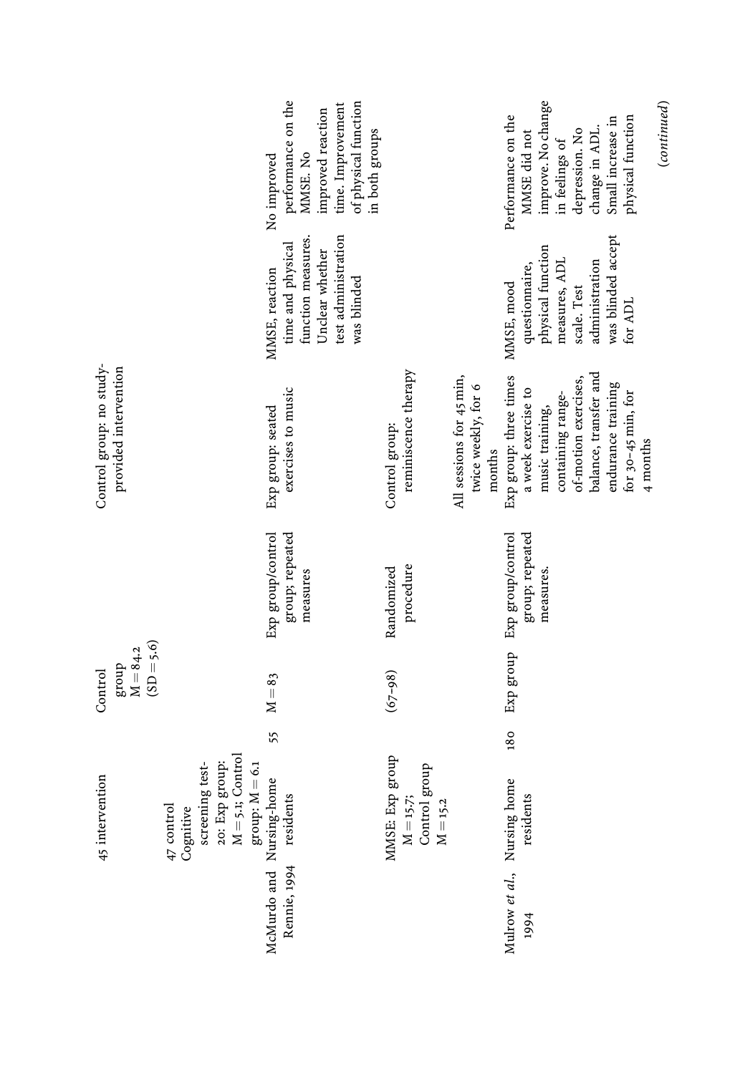|                                                   |                                                                                                           | performance on the<br>of physical function<br>time. Improvement<br>improved reaction<br>in both groups<br>MMSE. No<br>No improved |                                                                                   |                                                           | Performance on the<br>MMSE did not              | improve. No change<br>depression. No<br>in feelings of       | change in ADL.        | physical function<br>Small increase in     |          | $_{(continued)}$ |
|---------------------------------------------------|-----------------------------------------------------------------------------------------------------------|-----------------------------------------------------------------------------------------------------------------------------------|-----------------------------------------------------------------------------------|-----------------------------------------------------------|-------------------------------------------------|--------------------------------------------------------------|-----------------------|--------------------------------------------|----------|------------------|
|                                                   |                                                                                                           | test administration<br>function measures.<br>time and physical<br>Unclear whether<br>MMSE, reaction<br>was blinded                |                                                                                   |                                                           | questionnaire,<br>MMSE, mood                    | physical function<br>measures, ADL<br>scale. Test            | administration        | was blinded accept<br>for ADL              |          |                  |
| Control group: no study-<br>provided intervention |                                                                                                           | exercises to music<br>Exp group: seated                                                                                           | reminiscence therapy<br>Control group:                                            | All sessions for 45 min,<br>twice weekly, for 6<br>months | Exp group: three times<br>a week exercise to    | of-motion exercises,<br>containing range-<br>music training, | balance, transfer and | endurance training<br>for $30-45$ min, for | 4 months |                  |
|                                                   |                                                                                                           | group; repeated<br>Exp group/control<br>measures                                                                                  | procedure<br>Randomized                                                           |                                                           | Exp group/control<br>group; repeated            | measures.                                                    |                       |                                            |          |                  |
| $(SD = 5.6)$<br>group<br>$M = 84.2$<br>Control    |                                                                                                           | $M = 83$                                                                                                                          | $(67 - 98)$                                                                       |                                                           | Exp group                                       |                                                              |                       |                                            |          |                  |
| 45 intervention                                   | 20: Exp group:<br>$M = 5.1;$ Control<br>group: $M = 6.1$<br>test-<br>screening<br>47 control<br>Cognitive | 55<br>McMurdo and Nursing-home<br>residents                                                                                       | group<br>Control group<br>MMSE: Exp<br>$M = 15.7$<br>$\mathbf{M} = \mathbf{15.2}$ |                                                           | 180<br>Mulrow et al., Nursing home<br>residents |                                                              |                       |                                            |          |                  |
|                                                   |                                                                                                           | Rennie, 1994                                                                                                                      |                                                                                   |                                                           | 1994                                            |                                                              |                       |                                            |          |                  |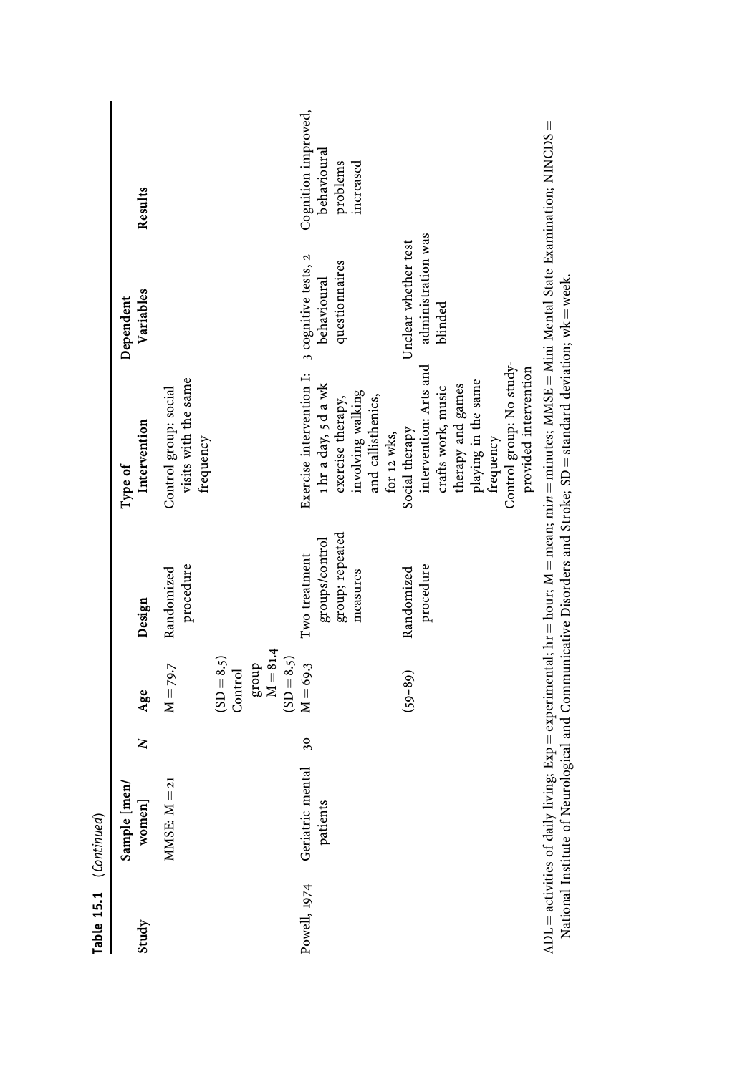| Table 15.1 (Continued) |                                |                   |                                                               |                                                                |                                                                                                                                                                                                                                                                          |                                                       |                                                             |
|------------------------|--------------------------------|-------------------|---------------------------------------------------------------|----------------------------------------------------------------|--------------------------------------------------------------------------------------------------------------------------------------------------------------------------------------------------------------------------------------------------------------------------|-------------------------------------------------------|-------------------------------------------------------------|
| Study                  | Sample [men/<br>women          | $\mathsf{\Sigma}$ | Age                                                           | Design                                                         | Intervention<br>Type of                                                                                                                                                                                                                                                  | Variables<br>Dependent                                | Results                                                     |
|                        | $\overline{21}$<br>$MMSE: M =$ |                   | $M = 81.4$<br>$(SD = 8.5)$<br>dno.fa<br>$M = 79.7$<br>Control | procedure<br>Randomized                                        | visits with the same<br>Control group: social<br>frequency                                                                                                                                                                                                               |                                                       |                                                             |
| Powell, 1974           | Geriatric mental<br>patients   | 30                | $(SD = 8.5)$<br>$M = 69.3$                                    | group; repeated<br>groups/control<br>Two treatment<br>measures | Exercise intervention I:<br>1hr a day, 5d a wk<br>involving walking<br>and callisthenics,<br>exercise therapy,                                                                                                                                                           | 3 cognitive tests, 2<br>questionnaires<br>behavioural | Cognition improved,<br>behavioural<br>problems<br>increased |
|                        |                                |                   | $(59 - 89)$                                                   | procedure<br>Randomized                                        | Control group: No study-<br>intervention: Arts and<br>provided intervention<br>playing in the same<br>therapy and games<br>crafts work, music<br>Social therapy<br>for 12 wks,<br>frequency                                                                              | administration was<br>Unclear whether test<br>blinded |                                                             |
|                        |                                |                   |                                                               |                                                                | $ADD = activity$ ites of daily living; $Exp = experiment$ in the hour; $M = mean$ ; $min = min$ at $MMSE = Min$ in $Menta$ State Examination; NINCDS =<br>National Institute of Neurological and Communicative Disorders and Stroke; SD = standard deviation; wk = week. |                                                       |                                                             |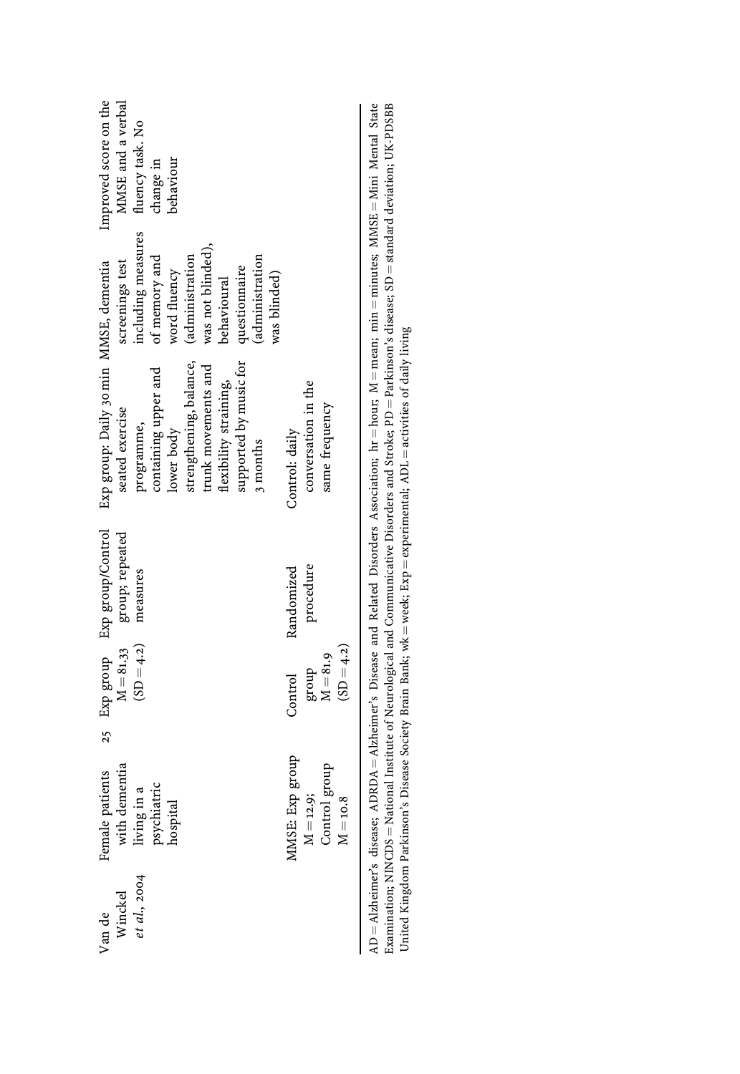| Improved score on the                  | MMSE and a verbal | fluency task. No   | change in               | behaviour    |                         |                     |                        |                        |                 |              |                |                      |                |                     |  |
|----------------------------------------|-------------------|--------------------|-------------------------|--------------|-------------------------|---------------------|------------------------|------------------------|-----------------|--------------|----------------|----------------------|----------------|---------------------|--|
|                                        | screenings test   | including measures | of memory and           | word fluency | (administration         | was not blinded),   | behavioural            | questionnaire          | (administration | was blinded) |                |                      |                |                     |  |
| Exp group: Daily 30 min MMSE, dementia | seated exercise   | programme,         | containing upper and    | lower body   | strengthening, balance, | trunk movements and | flexibility straining, | supported by music for | 3 months        |              | Control: daily | conversation in the  | same frequency |                     |  |
| 25 Exp group Exp group/Control         | group; repeated   | measures           |                         |              |                         |                     |                        |                        |                 |              | Randomized     | procedure            |                |                     |  |
|                                        | $M = 81.33$       | $(SD = 4.2)$       |                         |              |                         |                     |                        |                        |                 |              | Control        | dno.fa               | $M = 81.9$     | $(SD = 4.2)$        |  |
|                                        |                   |                    |                         |              |                         |                     |                        |                        |                 |              | dno.fa         |                      |                |                     |  |
| Female patients                        | with dementia     | living in a        | psychiatric<br>hospital |              |                         |                     |                        |                        |                 |              | MMSE: Exp      | $\mathcal{M}=$ 12.9; | Control group  | $\mathrm{M}$ = 10.8 |  |
| Van de                                 | Winckel           | et al., 2004       |                         |              |                         |                     |                        |                        |                 |              |                |                      |                |                     |  |

 $AD = Albimer's$  disease;  $ADRDA = Albiner's$  Disease and Related Disorders Association;  $hr = hour; M = mean; min = minutes; MNSB = Mini$  Mental State Examination; NINCDS = National Institute of Neurological and Communicative Disorders and Stroke; PD = Parkinson's disease; SD = standard deviation; UK-PDSBB  $AD = Alzheimer's disease; ADRDA = Alzheimer's Disease and Related Disorder's Association; hr = hour; M = mean; min = minutes; MMSE = Mini Mental State's  
% The total data is 1000% of the total data is 1000% of the total data is 1000% of the total data is 1000% of the total data is 1000% of the total data is 1000% of the total data is 1000% of the total data is 1000% of the total data is 1000% of the total data is 1000% of the total data is 1000% of the total data is 1000% of the total data is 1000% of the total data is 1000% of the total data is 1000% of the total data is$ Examination; NINCDS = National Institute of Neurological and Communicative Disorders and Stroke; PD = Parkinson's disease; SD = standard deviation; UK-PDSBB United Kingdom Parkinson's Disease Society Brain Bank; wk = week; Exp = experimental; ADL = activities of daily living United Kingdom Parkinson's Disease Society Brain Bank; wk = week; Exp = experimental; ADL = activities of daily living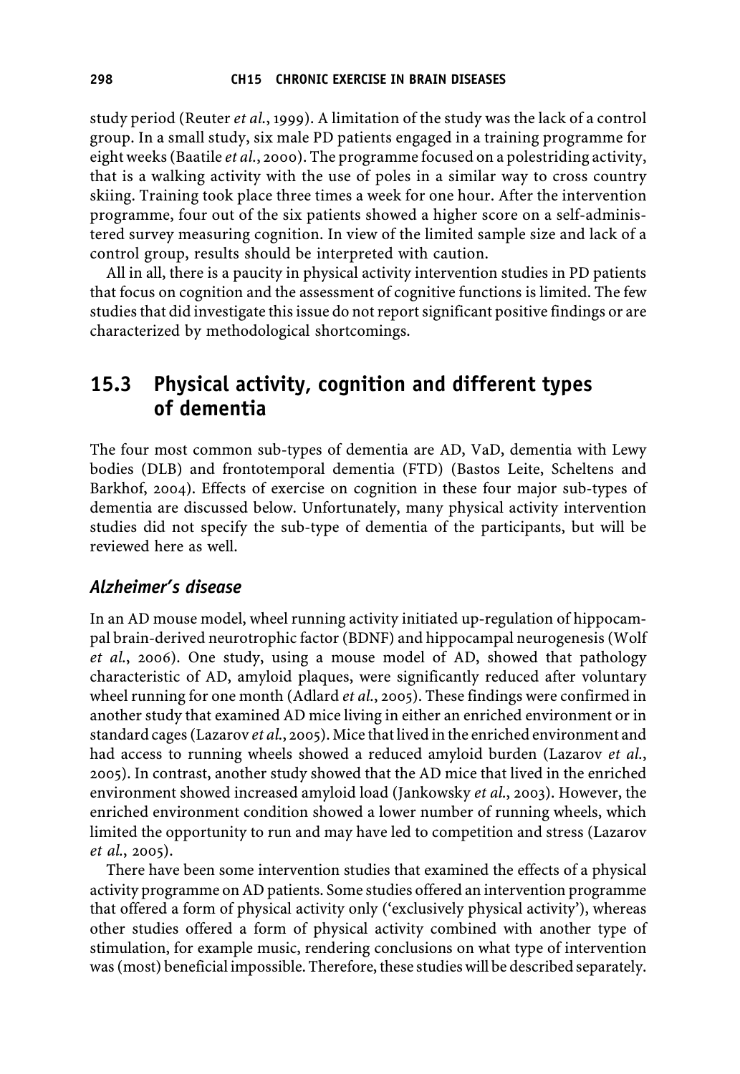study period (Reuter et al., 1999). A limitation of the study was the lack of a control group. In a small study, six male PD patients engaged in a training programme for eight weeks (Baatile et al., 2000). The programme focused on a polestriding activity, that is a walking activity with the use of poles in a similar way to cross country skiing. Training took place three times a week for one hour. After the intervention programme, four out of the six patients showed a higher score on a self-administered survey measuring cognition. In view of the limited sample size and lack of a control group, results should be interpreted with caution.

All in all, there is a paucity in physical activity intervention studies in PD patients that focus on cognition and the assessment of cognitive functions is limited. The few studies that did investigate this issue do not report significant positive findings or are characterized by methodological shortcomings.

# 15.3 Physical activity, cognition and different types of dementia

The four most common sub-types of dementia are AD, VaD, dementia with Lewy bodies (DLB) and frontotemporal dementia (FTD) (Bastos Leite, Scheltens and Barkhof, 2004). Effects of exercise on cognition in these four major sub-types of dementia are discussed below. Unfortunately, many physical activity intervention studies did not specify the sub-type of dementia of the participants, but will be reviewed here as well.

#### Alzheimer's disease

In an AD mouse model, wheel running activity initiated up-regulation of hippocampal brain-derived neurotrophic factor (BDNF) and hippocampal neurogenesis (Wolf et al., 2006). One study, using a mouse model of AD, showed that pathology characteristic of AD, amyloid plaques, were significantly reduced after voluntary wheel running for one month (Adlard et al., 2005). These findings were confirmed in another study that examined AD mice living in either an enriched environment or in standard cages (Lazarov et al., 2005). Mice that lived in the enriched environment and had access to running wheels showed a reduced amyloid burden (Lazarov et al., 2005). In contrast, another study showed that the AD mice that lived in the enriched environment showed increased amyloid load (Jankowsky et al., 2003). However, the enriched environment condition showed a lower number of running wheels, which limited the opportunity to run and may have led to competition and stress (Lazarov et al., 2005).

There have been some intervention studies that examined the effects of a physical activity programme on AD patients. Some studies offered an intervention programme that offered a form of physical activity only ('exclusively physical activity'), whereas other studies offered a form of physical activity combined with another type of stimulation, for example music, rendering conclusions on what type of intervention was (most) beneficial impossible. Therefore, these studies will be described separately.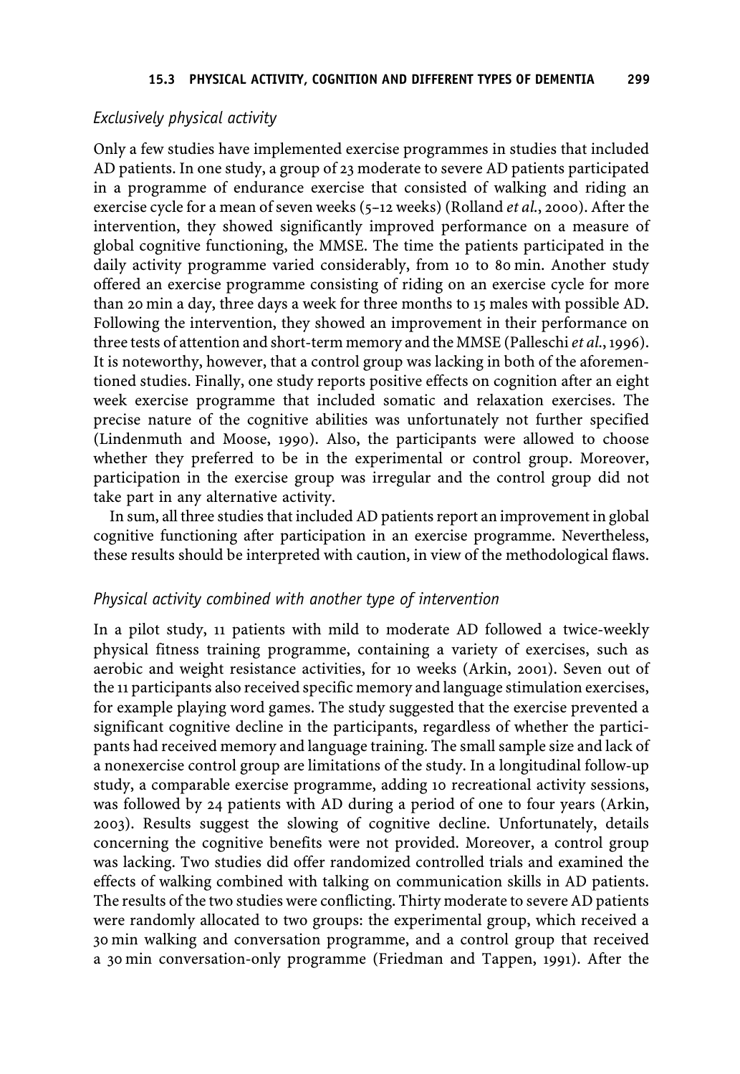#### Exclusively physical activity

Only a few studies have implemented exercise programmes in studies that included AD patients. In one study, a group of 23 moderate to severe AD patients participated in a programme of endurance exercise that consisted of walking and riding an exercise cycle for a mean of seven weeks (5-12 weeks) (Rolland et al., 2000). After the intervention, they showed significantly improved performance on a measure of global cognitive functioning, the MMSE. The time the patients participated in the daily activity programme varied considerably, from 10 to 80 min. Another study offered an exercise programme consisting of riding on an exercise cycle for more than 20 min a day, three days a week for three months to 15 males with possible AD. Following the intervention, they showed an improvement in their performance on three tests of attention and short-term memory and the MMSE (Palleschi *et al.*, 1996). It is noteworthy, however, that a control group was lacking in both of the aforementioned studies. Finally, one study reports positive effects on cognition after an eight week exercise programme that included somatic and relaxation exercises. The precise nature of the cognitive abilities was unfortunately not further specified (Lindenmuth and Moose, 1990). Also, the participants were allowed to choose whether they preferred to be in the experimental or control group. Moreover, participation in the exercise group was irregular and the control group did not take part in any alternative activity.

In sum, all three studies that included AD patients report an improvement in global cognitive functioning after participation in an exercise programme. Nevertheless, these results should be interpreted with caution, in view of the methodological flaws.

#### Physical activity combined with another type of intervention

In a pilot study, 11 patients with mild to moderate AD followed a twice-weekly physical fitness training programme, containing a variety of exercises, such as aerobic and weight resistance activities, for 10 weeks (Arkin, 2001). Seven out of the 11 participants also received specific memory and language stimulation exercises, for example playing word games. The study suggested that the exercise prevented a significant cognitive decline in the participants, regardless of whether the participants had received memory and language training. The small sample size and lack of a nonexercise control group are limitations of the study. In a longitudinal follow-up study, a comparable exercise programme, adding 10 recreational activity sessions, was followed by 24 patients with AD during a period of one to four years (Arkin, 2003). Results suggest the slowing of cognitive decline. Unfortunately, details concerning the cognitive benefits were not provided. Moreover, a control group was lacking. Two studies did offer randomized controlled trials and examined the effects of walking combined with talking on communication skills in AD patients. The results of the two studies were conflicting. Thirty moderate to severe AD patients were randomly allocated to two groups: the experimental group, which received a 30 min walking and conversation programme, and a control group that received a 30 min conversation-only programme (Friedman and Tappen, 1991). After the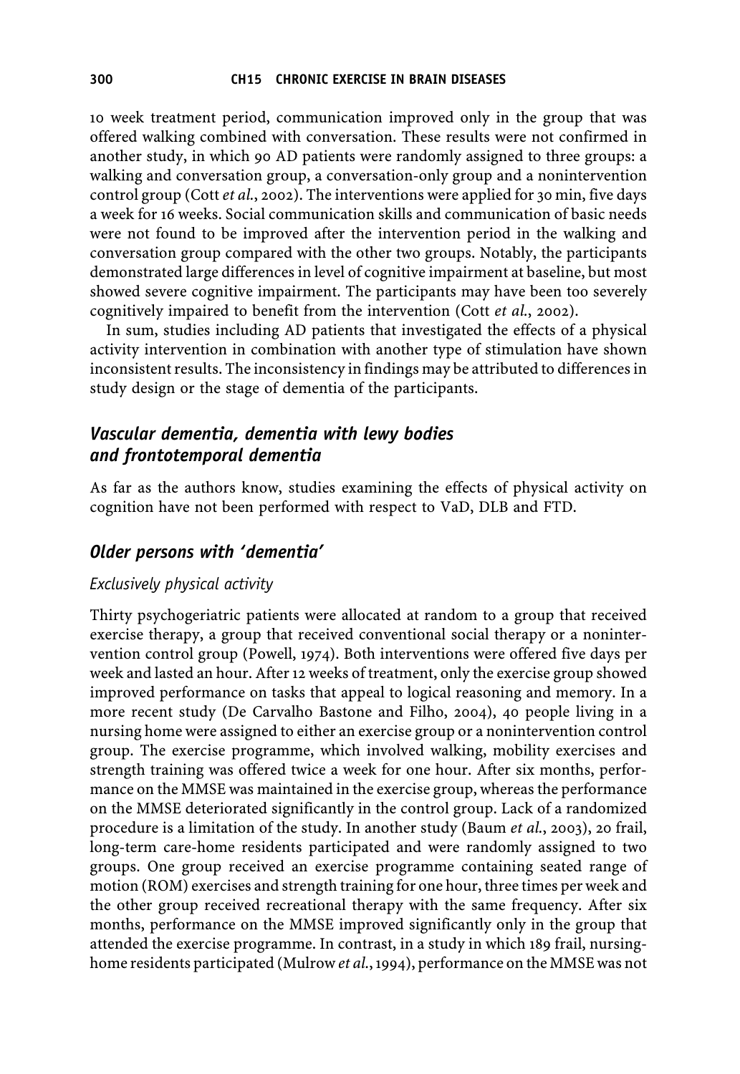10 week treatment period, communication improved only in the group that was offered walking combined with conversation. These results were not confirmed in another study, in which 90 AD patients were randomly assigned to three groups: a walking and conversation group, a conversation-only group and a nonintervention control group (Cott et al., 2002). The interventions were applied for 30 min, five days a week for 16 weeks. Social communication skills and communication of basic needs were not found to be improved after the intervention period in the walking and conversation group compared with the other two groups. Notably, the participants demonstrated large differences in level of cognitive impairment at baseline, but most showed severe cognitive impairment. The participants may have been too severely cognitively impaired to benefit from the intervention (Cott et al., 2002).

In sum, studies including AD patients that investigated the effects of a physical activity intervention in combination with another type of stimulation have shown inconsistent results. The inconsistency in findings may be attributed to differences in study design or the stage of dementia of the participants.

# Vascular dementia, dementia with lewy bodies and frontotemporal dementia

As far as the authors know, studies examining the effects of physical activity on cognition have not been performed with respect to VaD, DLB and FTD.

## Older persons with 'dementia'

#### Exclusively physical activity

Thirty psychogeriatric patients were allocated at random to a group that received exercise therapy, a group that received conventional social therapy or a nonintervention control group (Powell, 1974). Both interventions were offered five days per week and lasted an hour. After 12 weeks of treatment, only the exercise group showed improved performance on tasks that appeal to logical reasoning and memory. In a more recent study (De Carvalho Bastone and Filho, 2004), 40 people living in a nursing home were assigned to either an exercise group or a nonintervention control group. The exercise programme, which involved walking, mobility exercises and strength training was offered twice a week for one hour. After six months, performance on the MMSE was maintained in the exercise group, whereas the performance on the MMSE deteriorated significantly in the control group. Lack of a randomized procedure is a limitation of the study. In another study (Baum et al., 2003), 20 frail, long-term care-home residents participated and were randomly assigned to two groups. One group received an exercise programme containing seated range of motion (ROM) exercises and strength training for one hour, three times per week and the other group received recreational therapy with the same frequency. After six months, performance on the MMSE improved significantly only in the group that attended the exercise programme. In contrast, in a study in which 189 frail, nursinghome residents participated (Mulrow *et al.*, 1994), performance on the MMSE was not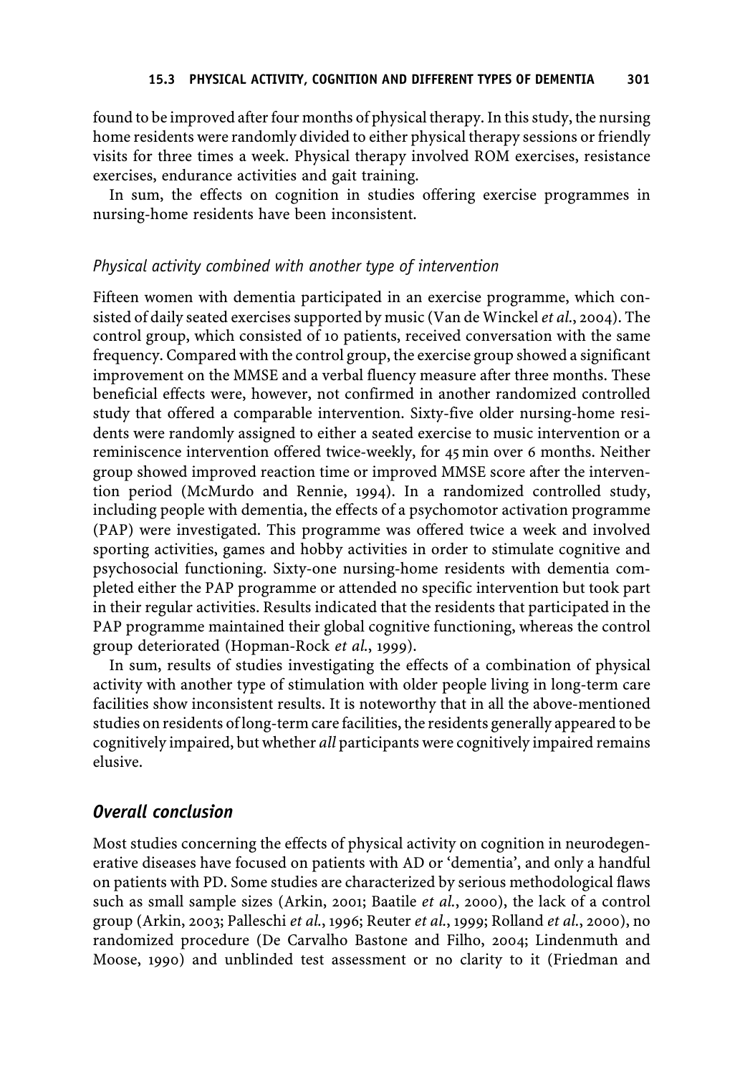found to be improved after four months of physical therapy. In this study, the nursing home residents were randomly divided to either physical therapy sessions or friendly visits for three times a week. Physical therapy involved ROM exercises, resistance exercises, endurance activities and gait training.

In sum, the effects on cognition in studies offering exercise programmes in nursing-home residents have been inconsistent.

#### Physical activity combined with another type of intervention

Fifteen women with dementia participated in an exercise programme, which consisted of daily seated exercises supported by music (Van de Winckel et al., 2004). The control group, which consisted of 10 patients, received conversation with the same frequency. Compared with the control group, the exercise group showed a significant improvement on the MMSE and a verbal fluency measure after three months. These beneficial effects were, however, not confirmed in another randomized controlled study that offered a comparable intervention. Sixty-five older nursing-home residents were randomly assigned to either a seated exercise to music intervention or a reminiscence intervention offered twice-weekly, for 45 min over 6 months. Neither group showed improved reaction time or improved MMSE score after the intervention period (McMurdo and Rennie, 1994). In a randomized controlled study, including people with dementia, the effects of a psychomotor activation programme (PAP) were investigated. This programme was offered twice a week and involved sporting activities, games and hobby activities in order to stimulate cognitive and psychosocial functioning. Sixty-one nursing-home residents with dementia completed either the PAP programme or attended no specific intervention but took part in their regular activities. Results indicated that the residents that participated in the PAP programme maintained their global cognitive functioning, whereas the control group deteriorated (Hopman-Rock et al., 1999).

In sum, results of studies investigating the effects of a combination of physical activity with another type of stimulation with older people living in long-term care facilities show inconsistent results. It is noteworthy that in all the above-mentioned studies on residents of long-term care facilities, the residents generally appeared to be cognitively impaired, but whether all participants were cognitively impaired remains elusive.

#### Overall conclusion

Most studies concerning the effects of physical activity on cognition in neurodegenerative diseases have focused on patients with AD or 'dementia', and only a handful on patients with PD. Some studies are characterized by serious methodological flaws such as small sample sizes (Arkin, 2001; Baatile et al., 2000), the lack of a control group (Arkin, 2003; Palleschi et al., 1996; Reuter et al., 1999; Rolland et al., 2000), no randomized procedure (De Carvalho Bastone and Filho, 2004; Lindenmuth and Moose, 1990) and unblinded test assessment or no clarity to it (Friedman and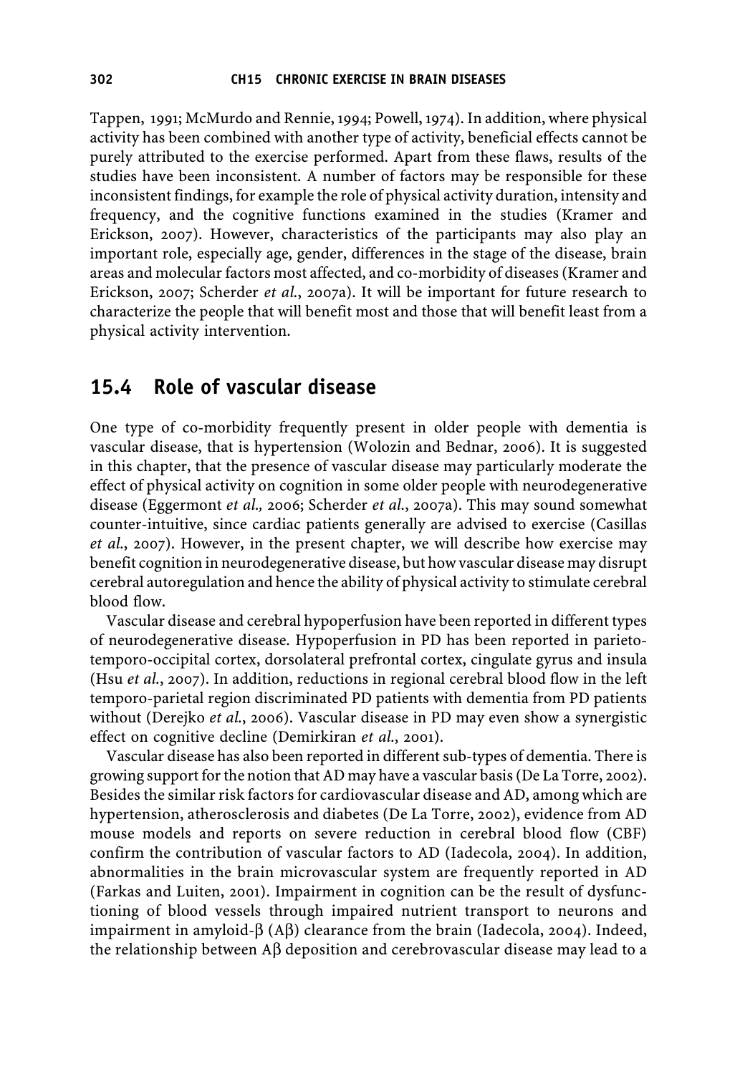Tappen, 1991; McMurdo and Rennie, 1994; Powell, 1974). In addition, where physical activity has been combined with another type of activity, beneficial effects cannot be purely attributed to the exercise performed. Apart from these flaws, results of the studies have been inconsistent. A number of factors may be responsible for these inconsistent findings, for example the role of physical activity duration, intensity and frequency, and the cognitive functions examined in the studies (Kramer and Erickson, 2007). However, characteristics of the participants may also play an important role, especially age, gender, differences in the stage of the disease, brain areas and molecular factors most affected, and co-morbidity of diseases (Kramer and Erickson, 2007; Scherder et al., 2007a). It will be important for future research to characterize the people that will benefit most and those that will benefit least from a physical activity intervention.

# 15.4 Role of vascular disease

One type of co-morbidity frequently present in older people with dementia is vascular disease, that is hypertension (Wolozin and Bednar, 2006). It is suggested in this chapter, that the presence of vascular disease may particularly moderate the effect of physical activity on cognition in some older people with neurodegenerative disease (Eggermont et al., 2006; Scherder et al., 2007a). This may sound somewhat counter-intuitive, since cardiac patients generally are advised to exercise (Casillas et al., 2007). However, in the present chapter, we will describe how exercise may benefit cognition in neurodegenerative disease, but how vascular disease may disrupt cerebral autoregulation and hence the ability of physical activity to stimulate cerebral blood flow.

Vascular disease and cerebral hypoperfusion have been reported in different types of neurodegenerative disease. Hypoperfusion in PD has been reported in parietotemporo-occipital cortex, dorsolateral prefrontal cortex, cingulate gyrus and insula (Hsu et al., 2007). In addition, reductions in regional cerebral blood flow in the left temporo-parietal region discriminated PD patients with dementia from PD patients without (Derejko et al., 2006). Vascular disease in PD may even show a synergistic effect on cognitive decline (Demirkiran et al., 2001).

Vascular disease has also been reported in different sub-types of dementia. There is growing support for the notion that AD may have a vascular basis (De La Torre, 2002). Besides the similar risk factors for cardiovascular disease and AD, among which are hypertension, atherosclerosis and diabetes (De La Torre, 2002), evidence from AD mouse models and reports on severe reduction in cerebral blood flow (CBF) confirm the contribution of vascular factors to AD (Iadecola, 2004). In addition, abnormalities in the brain microvascular system are frequently reported in AD (Farkas and Luiten, 2001). Impairment in cognition can be the result of dysfunctioning of blood vessels through impaired nutrient transport to neurons and impairment in amyloid- $\beta$  (A $\beta$ ) clearance from the brain (Iadecola, 2004). Indeed, the relationship between A $\beta$  deposition and cerebrovascular disease may lead to a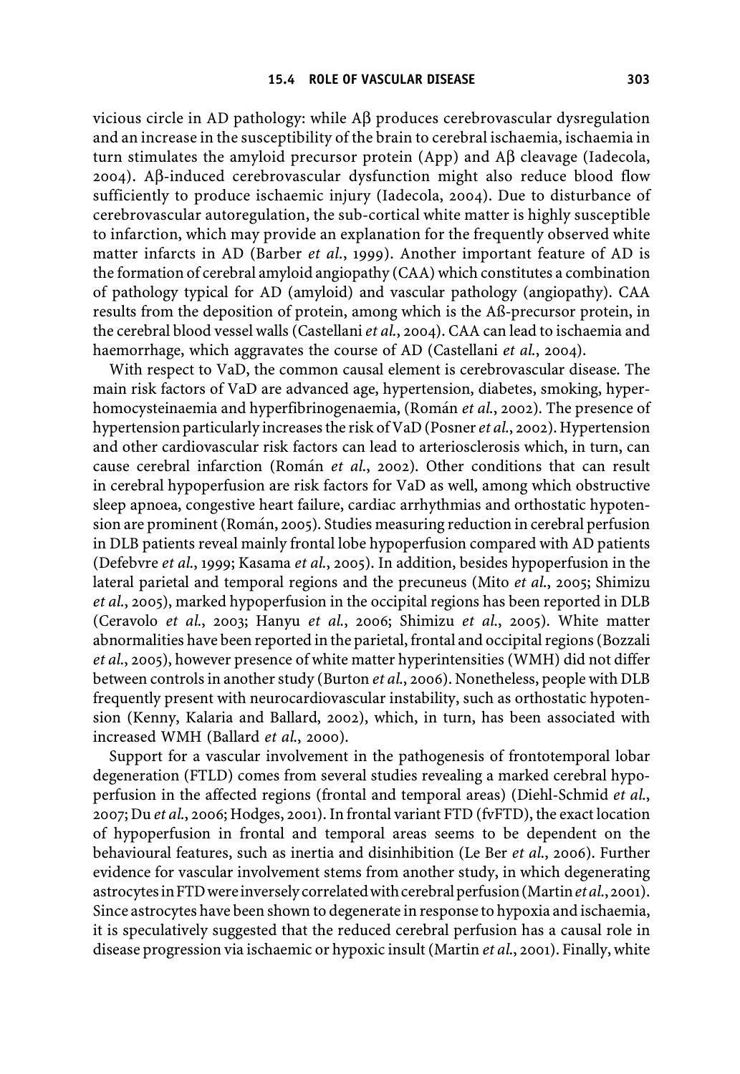vicious circle in AD pathology: while  $\mathbf{A}\beta$  produces cerebrovascular dysregulation and an increase in the susceptibility of the brain to cerebral ischaemia, ischaemia in turn stimulates the amyloid precursor protein (App) and  $\overrightarrow{AB}$  cleavage (Iadecola,  $2004$ ). A $\beta$ -induced cerebrovascular dysfunction might also reduce blood flow sufficiently to produce ischaemic injury (Iadecola, 2004). Due to disturbance of cerebrovascular autoregulation, the sub-cortical white matter is highly susceptible to infarction, which may provide an explanation for the frequently observed white matter infarcts in AD (Barber et al., 1999). Another important feature of AD is the formation of cerebral amyloid angiopathy (CAA) which constitutes a combination of pathology typical for AD (amyloid) and vascular pathology (angiopathy). CAA results from the deposition of protein, among which is the Aß-precursor protein, in the cerebral blood vessel walls (Castellani et al., 2004). CAA can lead to ischaemia and haemorrhage, which aggravates the course of AD (Castellani et al., 2004).

With respect to VaD, the common causal element is cerebrovascular disease. The main risk factors of VaD are advanced age, hypertension, diabetes, smoking, hyperhomocysteinaemia and hyperfibrinogenaemia, (Román et al., 2002). The presence of hypertension particularly increases the risk of VaD (Posner et al., 2002). Hypertension and other cardiovascular risk factors can lead to arteriosclerosis which, in turn, can cause cerebral infarction (Román et al., 2002). Other conditions that can result in cerebral hypoperfusion are risk factors for VaD as well, among which obstructive sleep apnoea, congestive heart failure, cardiac arrhythmias and orthostatic hypotension are prominent (Roman, 2005). Studies measuring reduction in cerebral perfusion in DLB patients reveal mainly frontal lobe hypoperfusion compared with AD patients (Defebvre et al., 1999; Kasama et al., 2005). In addition, besides hypoperfusion in the lateral parietal and temporal regions and the precuneus (Mito et al., 2005; Shimizu et al., 2005), marked hypoperfusion in the occipital regions has been reported in DLB (Ceravolo et al., 2003; Hanyu et al., 2006; Shimizu et al., 2005). White matter abnormalities have been reported in the parietal, frontal and occipital regions (Bozzali et al., 2005), however presence of white matter hyperintensities (WMH) did not differ between controls in another study (Burton et al., 2006). Nonetheless, people with DLB frequently present with neurocardiovascular instability, such as orthostatic hypotension (Kenny, Kalaria and Ballard, 2002), which, in turn, has been associated with increased WMH (Ballard et al., 2000).

Support for a vascular involvement in the pathogenesis of frontotemporal lobar degeneration (FTLD) comes from several studies revealing a marked cerebral hypoperfusion in the affected regions (frontal and temporal areas) (Diehl-Schmid et al., 2007; Du et al., 2006; Hodges, 2001). In frontal variant FTD (fvFTD), the exact location of hypoperfusion in frontal and temporal areas seems to be dependent on the behavioural features, such as inertia and disinhibition (Le Ber et al., 2006). Further evidence for vascular involvement stems from another study, in which degenerating astrocytes in FTD were inversely correlated with cerebral perfusion (Martin et al., 2001). Since astrocytes have been shown to degenerate in response to hypoxia and ischaemia, it is speculatively suggested that the reduced cerebral perfusion has a causal role in disease progression via ischaemic or hypoxic insult (Martin et al., 2001). Finally, white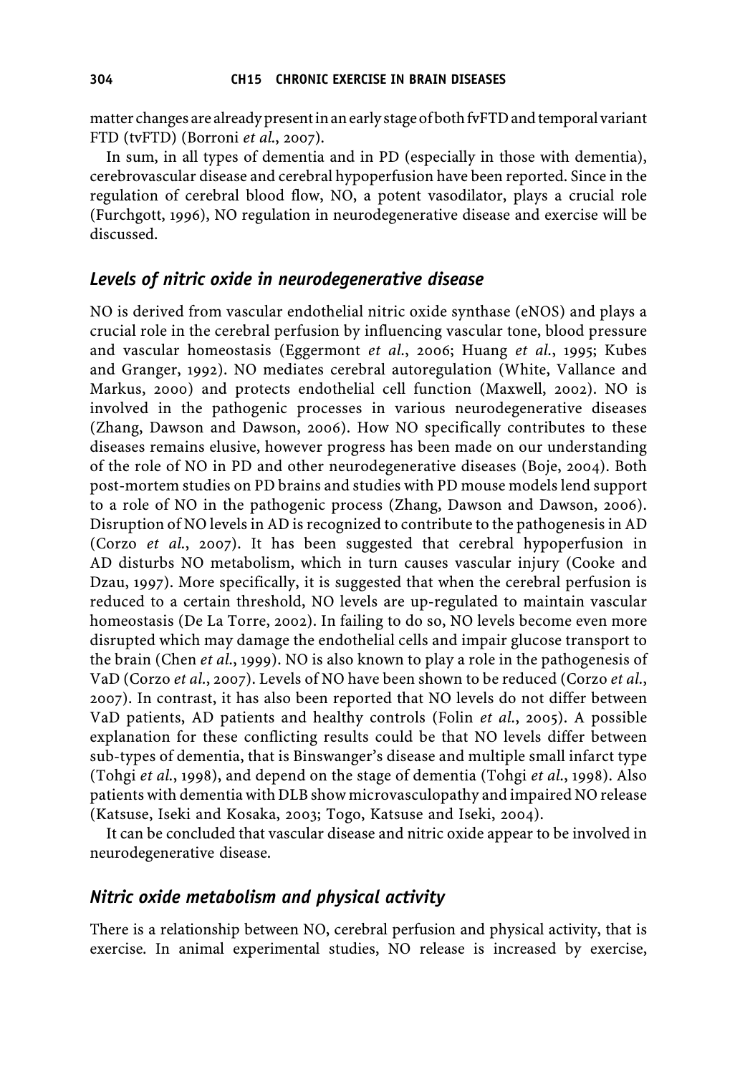matter changes are already presentin an early stage of both fvFTD and temporal variant FTD (tvFTD) (Borroni et al., 2007).

In sum, in all types of dementia and in PD (especially in those with dementia), cerebrovascular disease and cerebral hypoperfusion have been reported. Since in the regulation of cerebral blood flow, NO, a potent vasodilator, plays a crucial role (Furchgott, 1996), NO regulation in neurodegenerative disease and exercise will be discussed.

#### Levels of nitric oxide in neurodegenerative disease

NO is derived from vascular endothelial nitric oxide synthase (eNOS) and plays a crucial role in the cerebral perfusion by influencing vascular tone, blood pressure and vascular homeostasis (Eggermont et al., 2006; Huang et al., 1995; Kubes and Granger, 1992). NO mediates cerebral autoregulation (White, Vallance and Markus, 2000) and protects endothelial cell function (Maxwell, 2002). NO is involved in the pathogenic processes in various neurodegenerative diseases (Zhang, Dawson and Dawson, 2006). How NO specifically contributes to these diseases remains elusive, however progress has been made on our understanding of the role of NO in PD and other neurodegenerative diseases (Boje, 2004). Both post-mortem studies on PD brains and studies with PD mouse models lend support to a role of NO in the pathogenic process (Zhang, Dawson and Dawson, 2006). Disruption of NO levels in AD is recognized to contribute to the pathogenesis in AD (Corzo et al., 2007). It has been suggested that cerebral hypoperfusion in AD disturbs NO metabolism, which in turn causes vascular injury (Cooke and Dzau, 1997). More specifically, it is suggested that when the cerebral perfusion is reduced to a certain threshold, NO levels are up-regulated to maintain vascular homeostasis (De La Torre, 2002). In failing to do so, NO levels become even more disrupted which may damage the endothelial cells and impair glucose transport to the brain (Chen et al., 1999). NO is also known to play a role in the pathogenesis of VaD (Corzo et al., 2007). Levels of NO have been shown to be reduced (Corzo et al., 2007). In contrast, it has also been reported that NO levels do not differ between VaD patients, AD patients and healthy controls (Folin et al., 2005). A possible explanation for these conflicting results could be that NO levels differ between sub-types of dementia, that is Binswanger's disease and multiple small infarct type (Tohgi et al., 1998), and depend on the stage of dementia (Tohgi et al., 1998). Also patients with dementia with DLB show microvasculopathy and impaired NO release (Katsuse, Iseki and Kosaka, 2003; Togo, Katsuse and Iseki, 2004).

It can be concluded that vascular disease and nitric oxide appear to be involved in neurodegenerative disease.

# Nitric oxide metabolism and physical activity

There is a relationship between NO, cerebral perfusion and physical activity, that is exercise. In animal experimental studies, NO release is increased by exercise,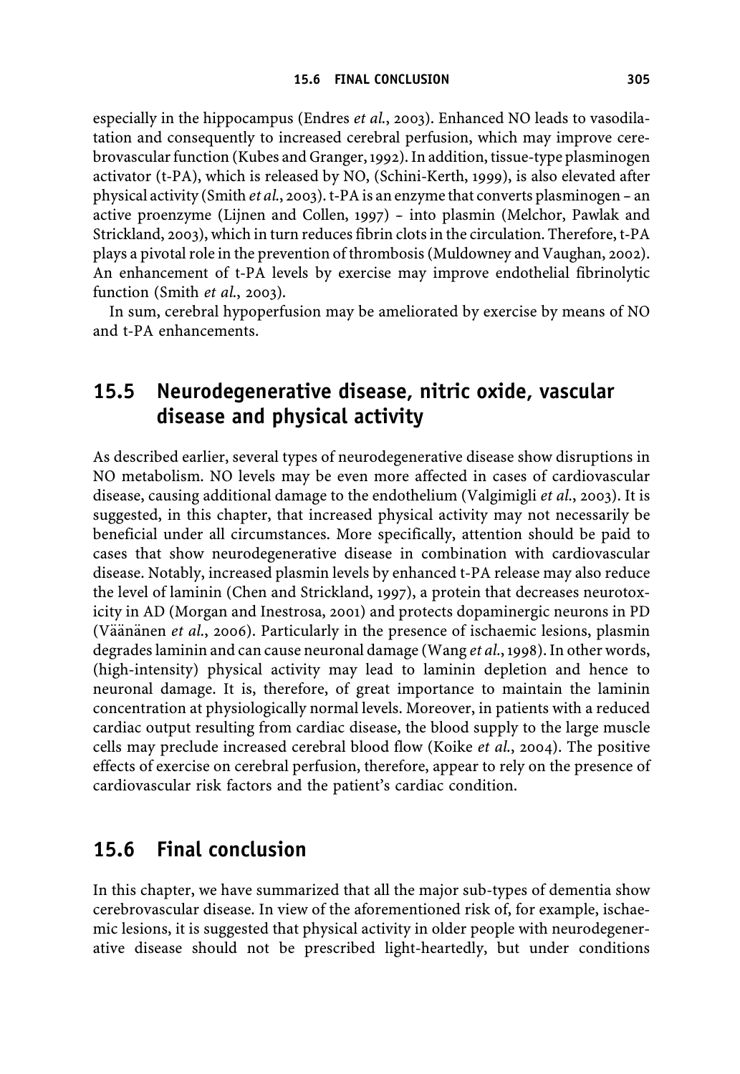especially in the hippocampus (Endres et al., 2003). Enhanced NO leads to vasodilatation and consequently to increased cerebral perfusion, which may improve cerebrovascular function (Kubes and Granger, 1992). In addition, tissue-type plasminogen activator (t-PA), which is released by NO, (Schini-Kerth, 1999), is also elevated after physical activity (Smith *et al.*, 2003). t-PA is an enzyme that converts plasminogen - an active proenzyme (Lijnen and Collen, 1997) - into plasmin (Melchor, Pawlak and Strickland, 2003), which in turn reduces fibrin clots in the circulation. Therefore, t-PA plays a pivotal role in the prevention of thrombosis (Muldowney and Vaughan, 2002). An enhancement of t-PA levels by exercise may improve endothelial fibrinolytic function (Smith et al., 2003).

In sum, cerebral hypoperfusion may be ameliorated by exercise by means of NO and t-PA enhancements.

# 15.5 Neurodegenerative disease, nitric oxide, vascular disease and physical activity

As described earlier, several types of neurodegenerative disease show disruptions in NO metabolism. NO levels may be even more affected in cases of cardiovascular disease, causing additional damage to the endothelium (Valgimigli et al., 2003). It is suggested, in this chapter, that increased physical activity may not necessarily be beneficial under all circumstances. More specifically, attention should be paid to cases that show neurodegenerative disease in combination with cardiovascular disease. Notably, increased plasmin levels by enhanced t-PA release may also reduce the level of laminin (Chen and Strickland, 1997), a protein that decreases neurotoxicity in AD (Morgan and Inestrosa, 2001) and protects dopaminergic neurons in PD (Väänänen et al., 2006). Particularly in the presence of ischaemic lesions, plasmin degrades laminin and can cause neuronal damage (Wang et al., 1998). In other words, (high-intensity) physical activity may lead to laminin depletion and hence to neuronal damage. It is, therefore, of great importance to maintain the laminin concentration at physiologically normal levels. Moreover, in patients with a reduced cardiac output resulting from cardiac disease, the blood supply to the large muscle cells may preclude increased cerebral blood flow (Koike et al., 2004). The positive effects of exercise on cerebral perfusion, therefore, appear to rely on the presence of cardiovascular risk factors and the patient's cardiac condition.

# 15.6 Final conclusion

In this chapter, we have summarized that all the major sub-types of dementia show cerebrovascular disease. In view of the aforementioned risk of, for example, ischaemic lesions, it is suggested that physical activity in older people with neurodegenerative disease should not be prescribed light-heartedly, but under conditions